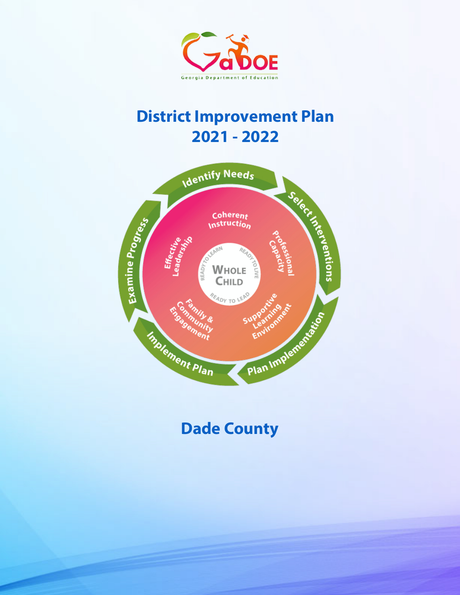

# **District Improvement Plan 2021 - 2022**



# **Dade County**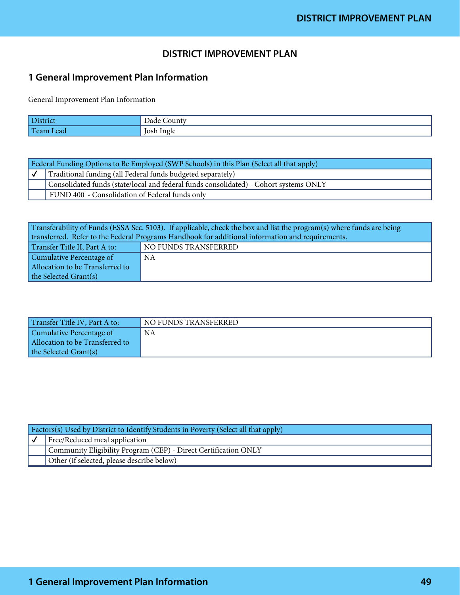### **DISTRICT IMPROVEMENT PLAN**

### **1 General Improvement Plan Information**

General Improvement Plan Information

| <b>District</b>   | Dade <sup>T</sup><br>ounty_ |
|-------------------|-----------------------------|
| lт<br>1 Team Lead | Josh Ingle                  |

| Federal Funding Options to Be Employed (SWP Schools) in this Plan (Select all that apply) |                                                                                       |
|-------------------------------------------------------------------------------------------|---------------------------------------------------------------------------------------|
|                                                                                           | Traditional funding (all Federal funds budgeted separately)                           |
|                                                                                           | Consolidated funds (state/local and federal funds consolidated) - Cohort systems ONLY |
|                                                                                           | FUND 400' - Consolidation of Federal funds only                                       |

Transferability of Funds (ESSA Sec. 5103). If applicable, check the box and list the program(s) where funds are being transferred. Refer to the Federal Programs Handbook for additional information and requirements.

| Transfer Title II, Part A to:   | NO FUNDS TRANSFERRED |
|---------------------------------|----------------------|
| Cumulative Percentage of        | NA                   |
| Allocation to be Transferred to |                      |
| the Selected Grant(s)           |                      |

| Transfer Title IV, Part A to:   | NO FUNDS TRANSFERRED |
|---------------------------------|----------------------|
| Cumulative Percentage of        | NA                   |
| Allocation to be Transferred to |                      |
| the Selected Grant(s)           |                      |

| [Factors(s) Used by District to Identify Students in Poverty (Select all that apply) |                                                                 |  |
|--------------------------------------------------------------------------------------|-----------------------------------------------------------------|--|
|                                                                                      | Free/Reduced meal application                                   |  |
|                                                                                      | Community Eligibility Program (CEP) - Direct Certification ONLY |  |
|                                                                                      | Other (if selected, please describe below)                      |  |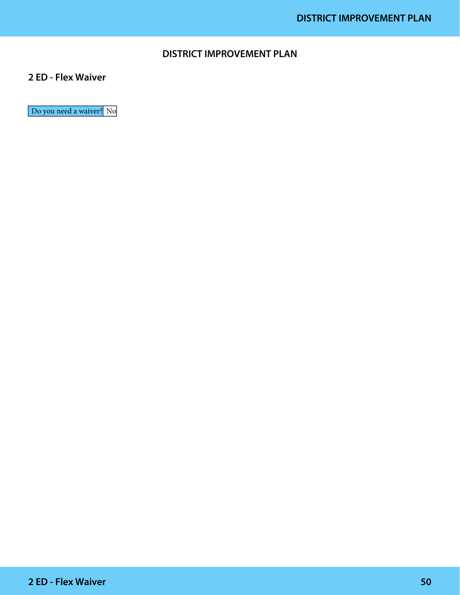### **DISTRICT IMPROVEMENT PLAN**

### **2 ED - Flex Waiver**

Do you need a waiver? No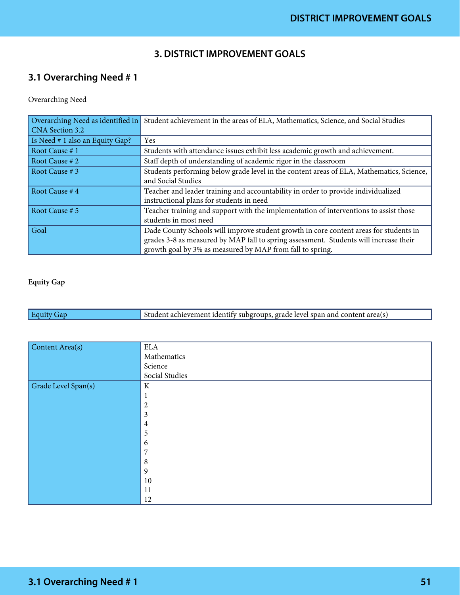### **3. DISTRICT IMPROVEMENT GOALS**

# **3.1 Overarching Need # 1**

Overarching Need

| Overarching Need as identified in | Student achievement in the areas of ELA, Mathematics, Science, and Social Studies        |
|-----------------------------------|------------------------------------------------------------------------------------------|
| CNA Section 3.2                   |                                                                                          |
| Is Need # 1 also an Equity Gap?   | Yes                                                                                      |
| Root Cause #1                     | Students with attendance issues exhibit less academic growth and achievement.            |
| Root Cause # 2                    | Staff depth of understanding of academic rigor in the classroom                          |
| Root Cause # 3                    | Students performing below grade level in the content areas of ELA, Mathematics, Science, |
|                                   | and Social Studies                                                                       |
| Root Cause #4                     | Teacher and leader training and accountability in order to provide individualized        |
|                                   | instructional plans for students in need                                                 |
| Root Cause # 5                    | Teacher training and support with the implementation of interventions to assist those    |
|                                   | students in most need                                                                    |
| Goal                              | Dade County Schools will improve student growth in core content areas for students in    |
|                                   | grades 3-8 as measured by MAP fall to spring assessment. Students will increase their    |
|                                   | growth goal by 3% as measured by MAP from fall to spring.                                |

#### Equity Gap

| $ $ Equity<br>Student achievement identify subgroups, grade level span and content area(s) |
|--------------------------------------------------------------------------------------------|
|--------------------------------------------------------------------------------------------|

| Content Area(s)     | <b>ELA</b>       |
|---------------------|------------------|
|                     | Mathematics      |
|                     | Science          |
|                     | Social Studies   |
| Grade Level Span(s) | $\rm K$          |
|                     | $\mathbf{1}$     |
|                     | $\overline{c}$   |
|                     | $\mathfrak{Z}$   |
|                     | $\overline{4}$   |
|                     | $\sqrt{5}$       |
|                     | $\boldsymbol{6}$ |
|                     | $\overline{7}$   |
|                     | $\, 8$           |
|                     | $\overline{9}$   |
|                     | $10\,$           |
|                     | 11               |
|                     | 12               |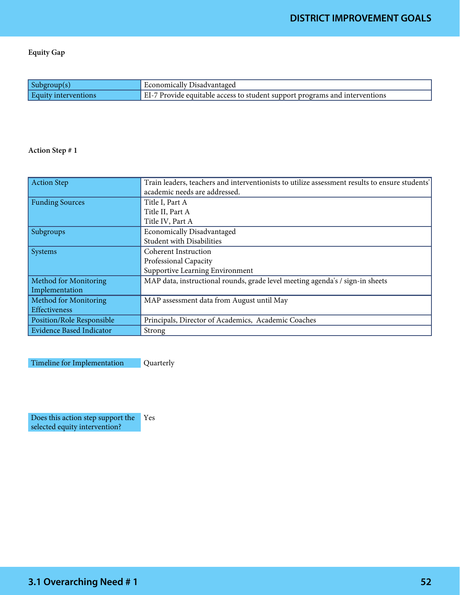Equity Gap

| Subgroup(s                  | Economically Disadvantaged                                                  |
|-----------------------------|-----------------------------------------------------------------------------|
| <b>Equity interventions</b> | EI-7 Provide equitable access to student support programs and interventions |

#### Action Step # 1

| <b>Action Step</b>              | Train leaders, teachers and interventionists to utilize assessment results to ensure students' |
|---------------------------------|------------------------------------------------------------------------------------------------|
|                                 | academic needs are addressed.                                                                  |
| <b>Funding Sources</b>          | Title I, Part A                                                                                |
|                                 | Title II, Part A                                                                               |
|                                 | Title IV, Part A                                                                               |
| Subgroups                       | Economically Disadvantaged                                                                     |
|                                 | <b>Student with Disabilities</b>                                                               |
| Systems                         | Coherent Instruction                                                                           |
|                                 | Professional Capacity                                                                          |
|                                 | Supportive Learning Environment                                                                |
| <b>Method for Monitoring</b>    | MAP data, instructional rounds, grade level meeting agenda's / sign-in sheets                  |
| Implementation                  |                                                                                                |
| Method for Monitoring           | MAP assessment data from August until May                                                      |
| Effectiveness                   |                                                                                                |
| Position/Role Responsible       | Principals, Director of Academics, Academic Coaches                                            |
| <b>Evidence Based Indicator</b> | Strong                                                                                         |

Timeline for Implementation Quarterly

Does this action step support the selected equity intervention? Yes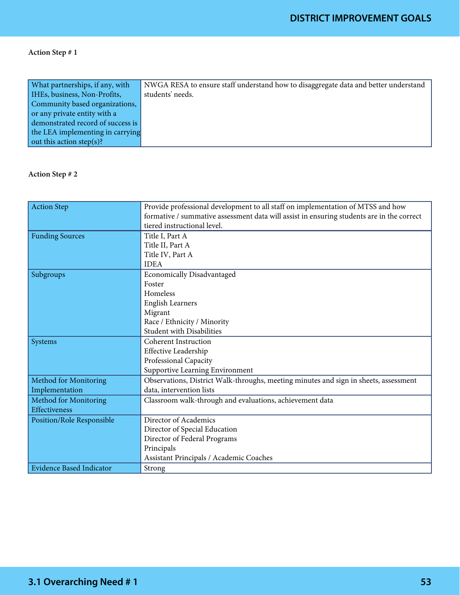| What partnerships, if any, with   | NWGA RESA to ensure staff understand how to disaggregate data and better understand |
|-----------------------------------|-------------------------------------------------------------------------------------|
| IHEs, business, Non-Profits,      | students' needs.                                                                    |
| Community based organizations,    |                                                                                     |
| or any private entity with a      |                                                                                     |
| demonstrated record of success is |                                                                                     |
| the LEA implementing in carrying  |                                                                                     |
| out this action step(s)?          |                                                                                     |

| <b>Action Step</b>              | Provide professional development to all staff on implementation of MTSS and how           |
|---------------------------------|-------------------------------------------------------------------------------------------|
|                                 | formative / summative assessment data will assist in ensuring students are in the correct |
|                                 | tiered instructional level.                                                               |
| <b>Funding Sources</b>          | Title I, Part A                                                                           |
|                                 | Title II, Part A                                                                          |
|                                 | Title IV, Part A                                                                          |
|                                 | <b>IDEA</b>                                                                               |
| Subgroups                       | Economically Disadvantaged                                                                |
|                                 | Foster                                                                                    |
|                                 | Homeless                                                                                  |
|                                 | <b>English Learners</b>                                                                   |
|                                 | Migrant                                                                                   |
|                                 | Race / Ethnicity / Minority                                                               |
|                                 | <b>Student with Disabilities</b>                                                          |
| Systems                         | <b>Coherent Instruction</b>                                                               |
|                                 | Effective Leadership                                                                      |
|                                 | Professional Capacity                                                                     |
|                                 | Supportive Learning Environment                                                           |
| Method for Monitoring           | Observations, District Walk-throughs, meeting minutes and sign in sheets, assessment      |
| Implementation                  | data, intervention lists                                                                  |
| Method for Monitoring           | Classroom walk-through and evaluations, achievement data                                  |
| Effectiveness                   |                                                                                           |
| Position/Role Responsible       | Director of Academics                                                                     |
|                                 | Director of Special Education                                                             |
|                                 | Director of Federal Programs                                                              |
|                                 | Principals                                                                                |
|                                 | Assistant Principals / Academic Coaches                                                   |
| <b>Evidence Based Indicator</b> | Strong                                                                                    |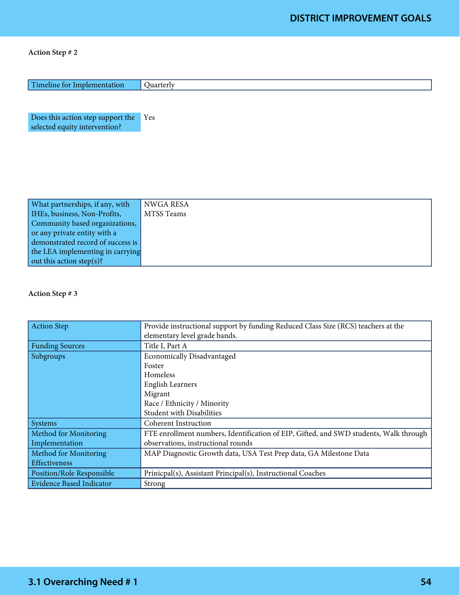| Timeline for Implementation       | Quarterly         |
|-----------------------------------|-------------------|
|                                   |                   |
|                                   |                   |
|                                   |                   |
| Does this action step support the | Yes               |
| selected equity intervention?     |                   |
|                                   |                   |
|                                   |                   |
|                                   |                   |
|                                   |                   |
|                                   |                   |
|                                   |                   |
|                                   |                   |
| What partnerships, if any, with   | <b>NWGA RESA</b>  |
| IHEs, business, Non-Profits,      | <b>MTSS Teams</b> |
| Community based organizations,    |                   |
| or any private entity with a      |                   |
| demonstrated record of success is |                   |
| the LEA implementing in carrying  |                   |
| out this action step(s)?          |                   |

| <b>Action Step</b>              | Provide instructional support by funding Reduced Class Size (RCS) teachers at the     |
|---------------------------------|---------------------------------------------------------------------------------------|
|                                 | elementary level grade bands.                                                         |
| <b>Funding Sources</b>          | Title I, Part A                                                                       |
| Subgroups                       | <b>Economically Disadvantaged</b>                                                     |
|                                 | Foster                                                                                |
|                                 | Homeless                                                                              |
|                                 | <b>English Learners</b>                                                               |
|                                 | Migrant                                                                               |
|                                 | Race / Ethnicity / Minority                                                           |
|                                 | <b>Student with Disabilities</b>                                                      |
| Systems                         | <b>Coherent Instruction</b>                                                           |
| <b>Method for Monitoring</b>    | FTE enrollment numbers, Identification of EIP, Gifted, and SWD students, Walk through |
| Implementation                  | observations, instructional rounds                                                    |
| Method for Monitoring           | MAP Diagnostic Growth data, USA Test Prep data, GA Milestone Data                     |
| Effectiveness                   |                                                                                       |
| Position/Role Responsible       | Prinicpal(s), Assistant Principal(s), Instructional Coaches                           |
| <b>Evidence Based Indicator</b> | Strong                                                                                |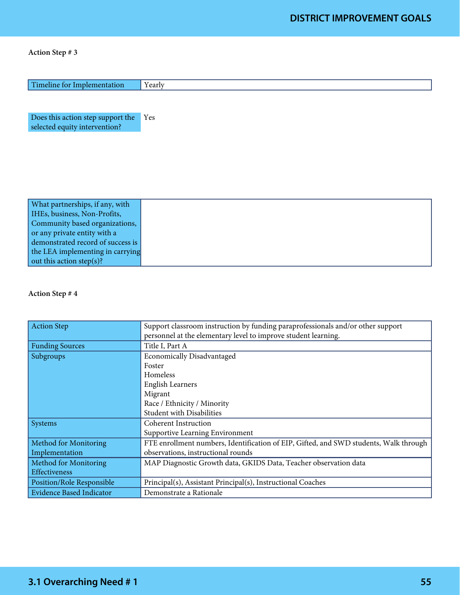| Timeline for Implementation                                        | Yearly |
|--------------------------------------------------------------------|--------|
|                                                                    |        |
| Does this action step support the<br>selected equity intervention? | Yes    |
|                                                                    |        |
|                                                                    |        |
|                                                                    |        |
| What partnerships, if any, with                                    |        |
| IHEs, business, Non-Profits,                                       |        |
| Community based organizations,                                     |        |
| or any private entity with a                                       |        |
| demonstrated record of success is                                  |        |
| the LEA implementing in carrying                                   |        |

#### Action Step # 4

out this action step(s)?

| <b>Action Step</b>              | Support classroom instruction by funding paraprofessionals and/or other support       |
|---------------------------------|---------------------------------------------------------------------------------------|
|                                 | personnel at the elementary level to improve student learning.                        |
| <b>Funding Sources</b>          | Title I, Part A                                                                       |
| Subgroups                       | <b>Economically Disadvantaged</b>                                                     |
|                                 | Foster                                                                                |
|                                 | Homeless                                                                              |
|                                 | <b>English Learners</b>                                                               |
|                                 | Migrant                                                                               |
|                                 | Race / Ethnicity / Minority                                                           |
|                                 | <b>Student with Disabilities</b>                                                      |
| Systems                         | Coherent Instruction                                                                  |
|                                 | Supportive Learning Environment                                                       |
| Method for Monitoring           | FTE enrollment numbers, Identification of EIP, Gifted, and SWD students, Walk through |
| Implementation                  | observations, instructional rounds                                                    |
| Method for Monitoring           | MAP Diagnostic Growth data, GKIDS Data, Teacher observation data                      |
| Effectiveness                   |                                                                                       |
| Position/Role Responsible       | Principal(s), Assistant Principal(s), Instructional Coaches                           |
| <b>Evidence Based Indicator</b> | Demonstrate a Rationale                                                               |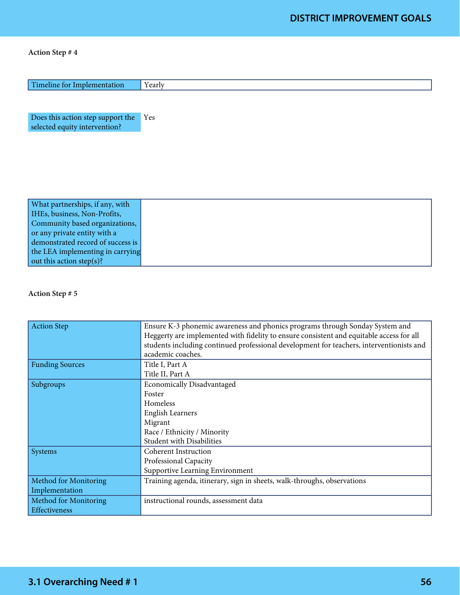| Does this action step support the<br>Yes<br>selected equity intervention?<br>What partnerships, if any, with<br>IHEs, business, Non-Profits,<br>Community based organizations,<br>or any private entity with a<br>demonstrated record of success is<br>the LEA implementing in carrying | Timeline for Implementation | Yearly |
|-----------------------------------------------------------------------------------------------------------------------------------------------------------------------------------------------------------------------------------------------------------------------------------------|-----------------------------|--------|
|                                                                                                                                                                                                                                                                                         |                             |        |
|                                                                                                                                                                                                                                                                                         |                             |        |
|                                                                                                                                                                                                                                                                                         |                             |        |
|                                                                                                                                                                                                                                                                                         |                             |        |
|                                                                                                                                                                                                                                                                                         |                             |        |
|                                                                                                                                                                                                                                                                                         |                             |        |
|                                                                                                                                                                                                                                                                                         |                             |        |
|                                                                                                                                                                                                                                                                                         |                             |        |
|                                                                                                                                                                                                                                                                                         |                             |        |
|                                                                                                                                                                                                                                                                                         |                             |        |
| out this action step(s)?                                                                                                                                                                                                                                                                |                             |        |
|                                                                                                                                                                                                                                                                                         |                             |        |

| <b>Action Step</b>                      | Ensure K-3 phonemic awareness and phonics programs through Sonday System and<br>Heggerty are implemented with fidelity to ensure consistent and equitable access for all<br>students including continued professional development for teachers, interventionists and<br>academic coaches. |
|-----------------------------------------|-------------------------------------------------------------------------------------------------------------------------------------------------------------------------------------------------------------------------------------------------------------------------------------------|
| <b>Funding Sources</b>                  | Title I, Part A<br>Title II, Part A                                                                                                                                                                                                                                                       |
| Subgroups                               | <b>Economically Disadvantaged</b><br>Foster<br>Homeless<br><b>English Learners</b><br>Migrant<br>Race / Ethnicity / Minority<br><b>Student with Disabilities</b>                                                                                                                          |
| Systems                                 | <b>Coherent Instruction</b><br>Professional Capacity<br>Supportive Learning Environment                                                                                                                                                                                                   |
| Method for Monitoring<br>Implementation | Training agenda, itinerary, sign in sheets, walk-throughs, observations                                                                                                                                                                                                                   |
| Method for Monitoring<br>Effectiveness  | instructional rounds, assessment data                                                                                                                                                                                                                                                     |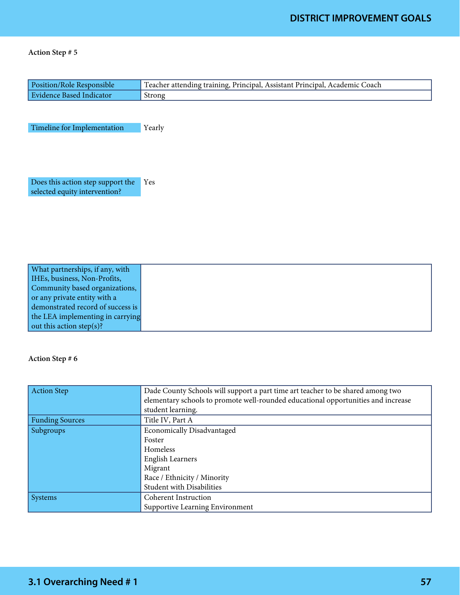| Position/Role Responsible                                          | Teacher attending training, Principal, Assistant Principal, Academic Coach |
|--------------------------------------------------------------------|----------------------------------------------------------------------------|
| <b>Evidence Based Indicator</b>                                    | Strong                                                                     |
|                                                                    |                                                                            |
| Timeline for Implementation                                        | Yearly                                                                     |
|                                                                    |                                                                            |
| Does this action step support the<br>selected equity intervention? | Yes                                                                        |
|                                                                    |                                                                            |
|                                                                    |                                                                            |
|                                                                    |                                                                            |
|                                                                    |                                                                            |
| What partnerships, if any, with<br>IHEs, business, Non-Profits,    |                                                                            |
| Community based organizations,                                     |                                                                            |
| or any private entity with a                                       |                                                                            |
| demonstrated record of success is                                  |                                                                            |
| the LEA implementing in carrying                                   |                                                                            |

#### Action Step # 6

out this action step(s)?

| <b>Action Step</b>     | Dade County Schools will support a part time art teacher to be shared among two   |
|------------------------|-----------------------------------------------------------------------------------|
|                        | elementary schools to promote well-rounded educational opportunities and increase |
|                        | student learning.                                                                 |
| <b>Funding Sources</b> | Title IV, Part A                                                                  |
| Subgroups              | <b>Economically Disadvantaged</b>                                                 |
|                        | Foster                                                                            |
|                        | Homeless                                                                          |
|                        | <b>English Learners</b>                                                           |
|                        | Migrant                                                                           |
|                        | Race / Ethnicity / Minority                                                       |
|                        | Student with Disabilities                                                         |
| <b>Systems</b>         | <b>Coherent Instruction</b>                                                       |
|                        | Supportive Learning Environment                                                   |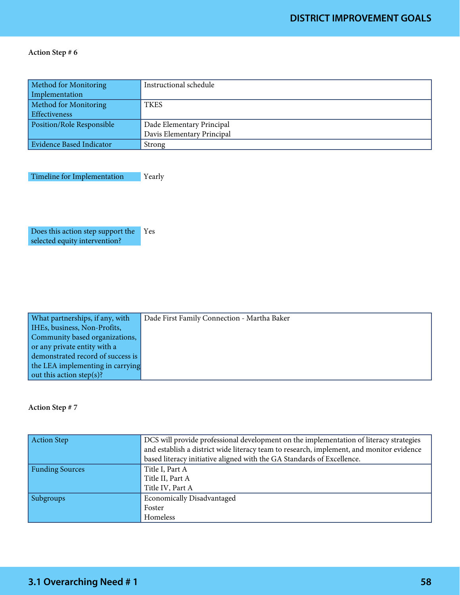| Method for Monitoring     | Instructional schedule     |
|---------------------------|----------------------------|
| Implementation            |                            |
| Method for Monitoring     | <b>TKES</b>                |
| <b>Effectiveness</b>      |                            |
| Position/Role Responsible | Dade Elementary Principal  |
|                           | Davis Elementary Principal |
| Evidence Based Indicator  | Strong                     |

Timeline for Implementation Yearly

Does this action step support the Yes selected equity intervention?

| What partnerships, if any, with   | Dade First Family Connection - Martha Baker |
|-----------------------------------|---------------------------------------------|
| HEs, business, Non-Profits,       |                                             |
| Community based organizations,    |                                             |
| or any private entity with a      |                                             |
| demonstrated record of success is |                                             |
| the LEA implementing in carrying  |                                             |
| out this action step(s)?          |                                             |

| <b>Action Step</b>     | DCS will provide professional development on the implementation of literacy strategies   |
|------------------------|------------------------------------------------------------------------------------------|
|                        | and establish a district wide literacy team to research, implement, and monitor evidence |
|                        | based literacy initiative aligned with the GA Standards of Excellence.                   |
| <b>Funding Sources</b> | Title I, Part A                                                                          |
|                        | Title II, Part A                                                                         |
|                        | Title IV, Part A                                                                         |
| Subgroups              | <b>Economically Disadvantaged</b>                                                        |
|                        | Foster                                                                                   |
|                        | Homeless                                                                                 |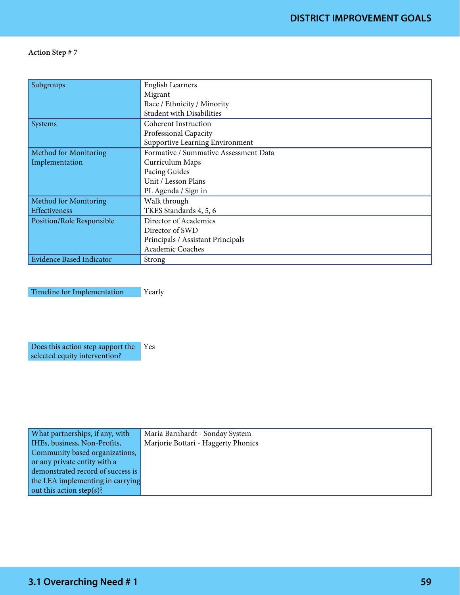| Subgroups                       | <b>English Learners</b>               |
|---------------------------------|---------------------------------------|
|                                 | Migrant                               |
|                                 | Race / Ethnicity / Minority           |
|                                 | <b>Student with Disabilities</b>      |
| Systems                         | <b>Coherent Instruction</b>           |
|                                 | Professional Capacity                 |
|                                 | Supportive Learning Environment       |
| <b>Method for Monitoring</b>    | Formative / Summative Assessment Data |
| Implementation                  | Curriculum Maps                       |
|                                 | Pacing Guides                         |
|                                 | Unit / Lesson Plans                   |
|                                 | PL Agenda / Sign in                   |
| Method for Monitoring           | Walk through                          |
| Effectiveness                   | TKES Standards 4, 5, 6                |
| Position/Role Responsible       | Director of Academics                 |
|                                 | Director of SWD                       |
|                                 | Principals / Assistant Principals     |
|                                 | Academic Coaches                      |
| <b>Evidence Based Indicator</b> | Strong                                |

Timeline for Implementation Yearly

Does this action step support the selected equity intervention? Yes

| What partnerships, if any, with   | Maria Barnhardt - Sonday System     |
|-----------------------------------|-------------------------------------|
| IHEs, business, Non-Profits,      | Marjorie Bottari - Haggerty Phonics |
| Community based organizations,    |                                     |
| or any private entity with a      |                                     |
| demonstrated record of success is |                                     |
| the LEA implementing in carrying  |                                     |
| out this action step(s)?          |                                     |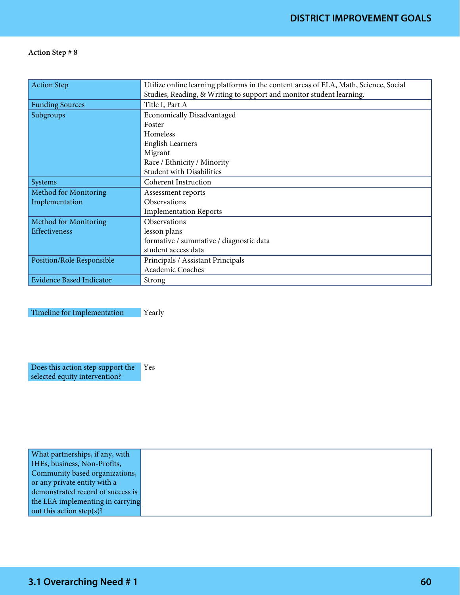| <b>Action Step</b>              | Utilize online learning platforms in the content areas of ELA, Math, Science, Social |
|---------------------------------|--------------------------------------------------------------------------------------|
|                                 | Studies, Reading, & Writing to support and monitor student learning.                 |
| <b>Funding Sources</b>          | Title I, Part A                                                                      |
| Subgroups                       | <b>Economically Disadvantaged</b>                                                    |
|                                 | Foster                                                                               |
|                                 | Homeless                                                                             |
|                                 | <b>English Learners</b>                                                              |
|                                 | Migrant                                                                              |
|                                 | Race / Ethnicity / Minority                                                          |
|                                 | <b>Student with Disabilities</b>                                                     |
| Systems                         | <b>Coherent Instruction</b>                                                          |
| Method for Monitoring           | Assessment reports                                                                   |
| Implementation                  | <b>Observations</b>                                                                  |
|                                 | <b>Implementation Reports</b>                                                        |
| Method for Monitoring           | <b>Observations</b>                                                                  |
| <b>Effectiveness</b>            | lesson plans                                                                         |
|                                 | formative / summative / diagnostic data                                              |
|                                 | student access data                                                                  |
| Position/Role Responsible       | Principals / Assistant Principals                                                    |
|                                 | Academic Coaches                                                                     |
| <b>Evidence Based Indicator</b> | Strong                                                                               |

Timeline for Implementation Pearly

Does this action step support the Yes selected equity intervention?

| What partnerships, if any, with   |
|-----------------------------------|
| IHEs, business, Non-Profits,      |
| Community based organizations,    |
| or any private entity with a      |
| demonstrated record of success is |
| the LEA implementing in carrying  |
| out this action step(s)?          |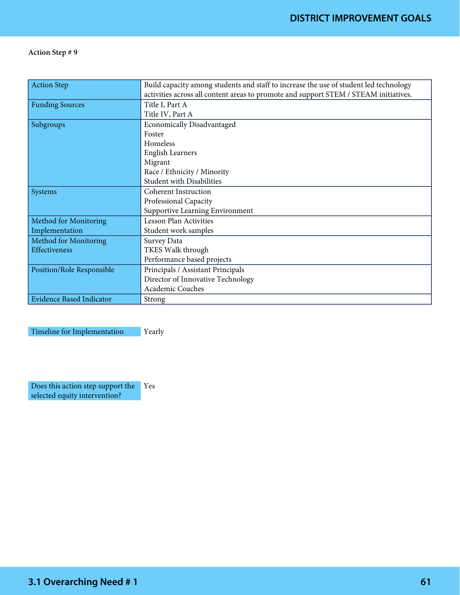| <b>Action Step</b>              | Build capacity among students and staff to increase the use of student led technology |
|---------------------------------|---------------------------------------------------------------------------------------|
|                                 | activities across all content areas to promote and support STEM / STEAM initiatives.  |
| <b>Funding Sources</b>          | Title I, Part A                                                                       |
|                                 | Title IV, Part A                                                                      |
| Subgroups                       | <b>Economically Disadvantaged</b>                                                     |
|                                 | Foster                                                                                |
|                                 | Homeless                                                                              |
|                                 | <b>English Learners</b>                                                               |
|                                 | Migrant                                                                               |
|                                 | Race / Ethnicity / Minority                                                           |
|                                 | <b>Student with Disabilities</b>                                                      |
| Systems                         | <b>Coherent Instruction</b>                                                           |
|                                 | Professional Capacity                                                                 |
|                                 | Supportive Learning Environment                                                       |
| Method for Monitoring           | <b>Lesson Plan Activities</b>                                                         |
| Implementation                  | Student work samples                                                                  |
| Method for Monitoring           | Survey Data                                                                           |
| Effectiveness                   | TKES Walk through                                                                     |
|                                 | Performance based projects                                                            |
| Position/Role Responsible       | Principals / Assistant Principals                                                     |
|                                 | Director of Innovative Technology                                                     |
|                                 | Academic Coaches                                                                      |
| <b>Evidence Based Indicator</b> | Strong                                                                                |

Timeline for Implementation Yearly

Does this action step support the selected equity intervention? Yes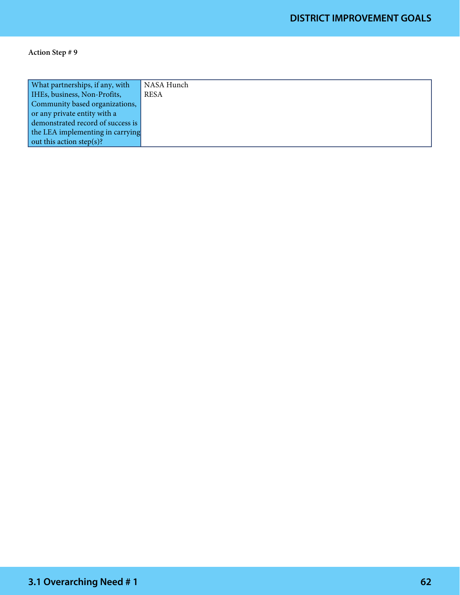| What partnerships, if any, with   | NASA Hunch  |
|-----------------------------------|-------------|
| IHEs, business, Non-Profits,      | <b>RESA</b> |
| Community based organizations,    |             |
| or any private entity with a      |             |
| demonstrated record of success is |             |
| the LEA implementing in carrying  |             |
| out this action step(s)?          |             |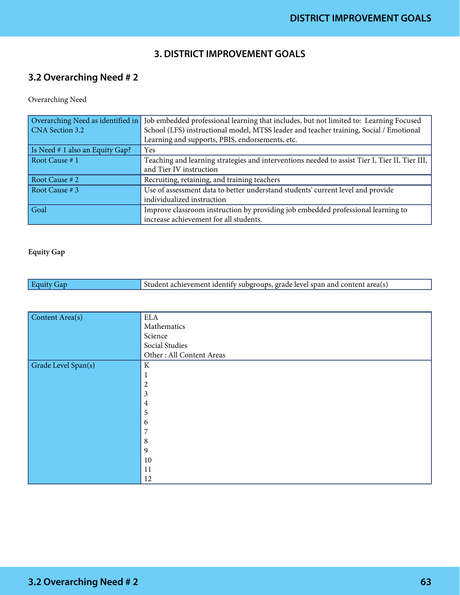### **3. DISTRICT IMPROVEMENT GOALS**

# **3.2 Overarching Need # 2**

#### Overarching Need

| Overarching Need as identified in | Job embedded professional learning that includes, but not limited to: Learning Focused         |
|-----------------------------------|------------------------------------------------------------------------------------------------|
| CNA Section 3.2                   | School (LFS) instructional model, MTSS leader and teacher training, Social / Emotional         |
|                                   | Learning and supports, PBIS, endorsements, etc.                                                |
| Is Need # 1 also an Equity Gap?   | Yes                                                                                            |
| Root Cause # 1                    | Teaching and learning strategies and interventions needed to assist Tier I, Tier II, Tier III, |
|                                   | and Tier IV instruction                                                                        |
| Root Cause # 2                    | Recruiting, retaining, and training teachers                                                   |
| Root Cause # 3                    | Use of assessment data to better understand students' current level and provide                |
|                                   | individualized instruction                                                                     |
| Goal                              | Improve classroom instruction by providing job embedded professional learning to               |
|                                   | increase achievement for all students.                                                         |

#### Equity Gap

| Equity<br>tan | Student achievement identify subgroups, grade level span and content area(s) |
|---------------|------------------------------------------------------------------------------|
|               |                                                                              |

| Content Area(s)     | $\operatorname{ELA}$     |
|---------------------|--------------------------|
|                     | Mathematics              |
|                     | Science                  |
|                     | Social Studies           |
|                     | Other: All Content Areas |
| Grade Level Span(s) | ${\bf K}$                |
|                     | 1                        |
|                     | $\boldsymbol{2}$         |
|                     | 3                        |
|                     | $\overline{4}$           |
|                     | 5                        |
|                     | 6                        |
|                     | 7                        |
|                     | $\,8\,$                  |
|                     | $\overline{9}$           |
|                     | $10\,$                   |
|                     | 11                       |
|                     | 12                       |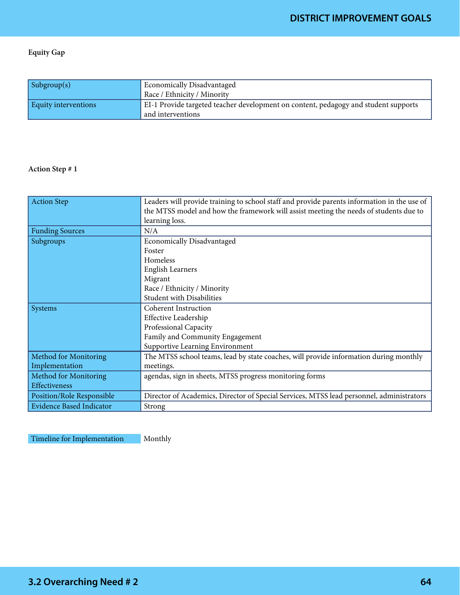#### Equity Gap

| $\sinh(\text{supp}(s))$ | <b>Economically Disadvantaged</b><br>Race / Ethnicity / Minority                                         |
|-------------------------|----------------------------------------------------------------------------------------------------------|
| Equity interventions    | EI-1 Provide targeted teacher development on content, pedagogy and student supports<br>and interventions |

#### Action Step # 1

| <b>Action Step</b>              | Leaders will provide training to school staff and provide parents information in the use of |
|---------------------------------|---------------------------------------------------------------------------------------------|
|                                 | the MTSS model and how the framework will assist meeting the needs of students due to       |
|                                 | learning loss.                                                                              |
| <b>Funding Sources</b>          | N/A                                                                                         |
| Subgroups                       | <b>Economically Disadvantaged</b>                                                           |
|                                 | Foster                                                                                      |
|                                 | Homeless                                                                                    |
|                                 | <b>English Learners</b>                                                                     |
|                                 | Migrant                                                                                     |
|                                 | Race / Ethnicity / Minority                                                                 |
|                                 | <b>Student with Disabilities</b>                                                            |
| <b>Systems</b>                  | <b>Coherent Instruction</b>                                                                 |
|                                 | <b>Effective Leadership</b>                                                                 |
|                                 | Professional Capacity                                                                       |
|                                 | Family and Community Engagement                                                             |
|                                 | Supportive Learning Environment                                                             |
| Method for Monitoring           | The MTSS school teams, lead by state coaches, will provide information during monthly       |
| Implementation                  | meetings.                                                                                   |
| Method for Monitoring           | agendas, sign in sheets, MTSS progress monitoring forms                                     |
| Effectiveness                   |                                                                                             |
| Position/Role Responsible       | Director of Academics, Director of Special Services, MTSS lead personnel, administrators    |
| <b>Evidence Based Indicator</b> | Strong                                                                                      |

Timeline for Implementation Monthly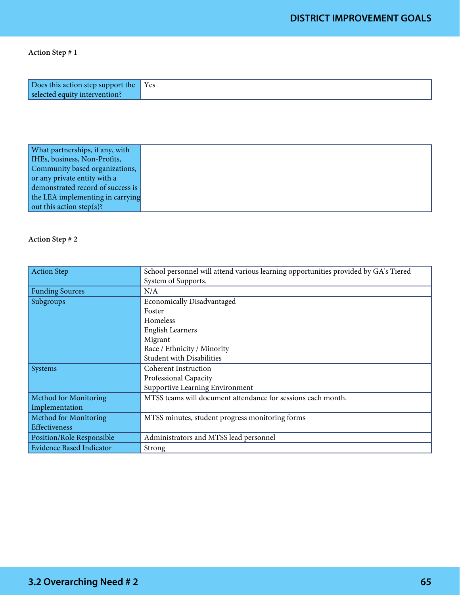| Does this action step support the Yes |  |
|---------------------------------------|--|
| selected equity intervention?         |  |

| What partnerships, if any, with   |  |
|-----------------------------------|--|
| IHEs, business, Non-Profits,      |  |
| Community based organizations,    |  |
| or any private entity with a      |  |
| demonstrated record of success is |  |
| the LEA implementing in carrying  |  |
| out this action step(s)?          |  |

| <b>Action Step</b>              | School personnel will attend various learning opportunities provided by GA's Tiered |
|---------------------------------|-------------------------------------------------------------------------------------|
|                                 | System of Supports.                                                                 |
| <b>Funding Sources</b>          | N/A                                                                                 |
| Subgroups                       | <b>Economically Disadvantaged</b>                                                   |
|                                 | Foster                                                                              |
|                                 | <b>Homeless</b>                                                                     |
|                                 | <b>English Learners</b>                                                             |
|                                 | Migrant                                                                             |
|                                 | Race / Ethnicity / Minority                                                         |
|                                 | <b>Student with Disabilities</b>                                                    |
| Systems                         | <b>Coherent Instruction</b>                                                         |
|                                 | Professional Capacity                                                               |
|                                 | Supportive Learning Environment                                                     |
| Method for Monitoring           | MTSS teams will document attendance for sessions each month.                        |
| Implementation                  |                                                                                     |
| Method for Monitoring           | MTSS minutes, student progress monitoring forms                                     |
| Effectiveness                   |                                                                                     |
| Position/Role Responsible       | Administrators and MTSS lead personnel                                              |
| <b>Evidence Based Indicator</b> | Strong                                                                              |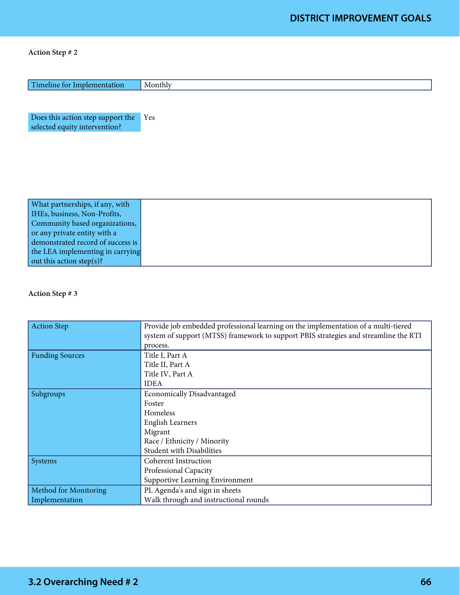| Timeline for Implementation                                        | Monthly |
|--------------------------------------------------------------------|---------|
|                                                                    |         |
| Does this action step support the<br>selected equity intervention? | Yes     |
|                                                                    |         |
|                                                                    |         |
|                                                                    |         |
|                                                                    |         |
| What partnerships, if any, with                                    |         |

| HEs, business, Non-Profits,       |
|-----------------------------------|
| Community based organizations,    |
| or any private entity with a      |
| demonstrated record of success is |
| the LEA implementing in carrying  |
| out this action step(s)?          |

| <b>Action Step</b>           | Provide job embedded professional learning on the implementation of a multi-tiered<br>system of support (MTSS) framework to support PBIS strategies and streamline the RTI<br>process. |
|------------------------------|----------------------------------------------------------------------------------------------------------------------------------------------------------------------------------------|
| <b>Funding Sources</b>       | Title I, Part A<br>Title II, Part A                                                                                                                                                    |
|                              | Title IV, Part A                                                                                                                                                                       |
|                              | <b>IDEA</b>                                                                                                                                                                            |
| Subgroups                    | <b>Economically Disadvantaged</b>                                                                                                                                                      |
|                              | Foster                                                                                                                                                                                 |
|                              | Homeless                                                                                                                                                                               |
|                              | <b>English Learners</b>                                                                                                                                                                |
|                              | Migrant                                                                                                                                                                                |
|                              | Race / Ethnicity / Minority                                                                                                                                                            |
|                              | <b>Student with Disabilities</b>                                                                                                                                                       |
| Systems                      | <b>Coherent Instruction</b>                                                                                                                                                            |
|                              | Professional Capacity                                                                                                                                                                  |
|                              | Supportive Learning Environment                                                                                                                                                        |
| <b>Method for Monitoring</b> | PL Agenda's and sign in sheets                                                                                                                                                         |
| Implementation               | Walk through and instructional rounds                                                                                                                                                  |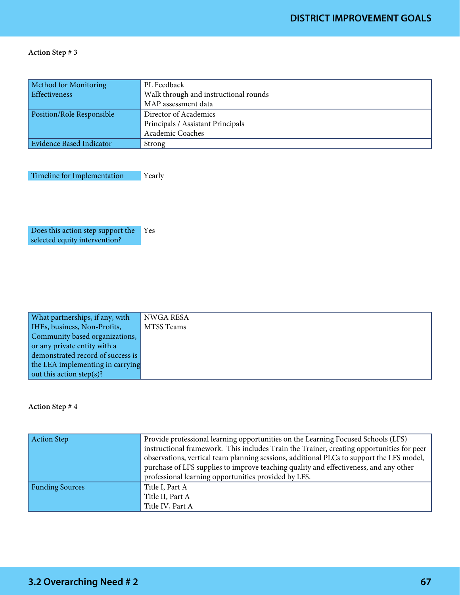| Method for Monitoring     | PL Feedback                           |
|---------------------------|---------------------------------------|
| Effectiveness             | Walk through and instructional rounds |
|                           | MAP assessment data                   |
| Position/Role Responsible | Director of Academics                 |
|                           | Principals / Assistant Principals     |
|                           | Academic Coaches                      |
| Evidence Based Indicator  | Strong                                |

Timeline for Implementation Pearly

Does this action step support the Yes selected equity intervention?

| What partnerships, if any, with   | NWGA RESA  |
|-----------------------------------|------------|
| HEs, business, Non-Profits,       | MTSS Teams |
| Community based organizations,    |            |
| or any private entity with a      |            |
| demonstrated record of success is |            |
| the LEA implementing in carrying  |            |
| out this action step(s)?          |            |

| <b>Action Step</b>     | Provide professional learning opportunities on the Learning Focused Schools (LFS)<br>instructional framework. This includes Train the Trainer, creating opportunities for peer<br>observations, vertical team planning sessions, additional PLCs to support the LFS model,<br>purchase of LFS supplies to improve teaching quality and effectiveness, and any other<br>professional learning opportunities provided by LFS. |
|------------------------|-----------------------------------------------------------------------------------------------------------------------------------------------------------------------------------------------------------------------------------------------------------------------------------------------------------------------------------------------------------------------------------------------------------------------------|
| <b>Funding Sources</b> | Title I, Part A<br>Title II, Part A<br>Title IV, Part A                                                                                                                                                                                                                                                                                                                                                                     |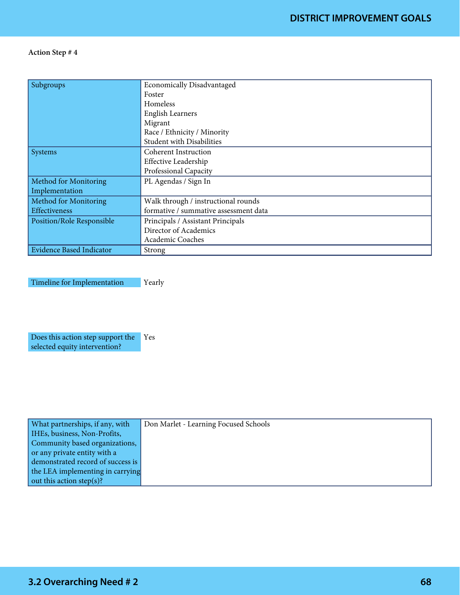| Subgroups                       | <b>Economically Disadvantaged</b>     |
|---------------------------------|---------------------------------------|
|                                 | Foster                                |
|                                 | Homeless                              |
|                                 | <b>English Learners</b>               |
|                                 | Migrant                               |
|                                 | Race / Ethnicity / Minority           |
|                                 | <b>Student with Disabilities</b>      |
| <b>Systems</b>                  | Coherent Instruction                  |
|                                 | <b>Effective Leadership</b>           |
|                                 | Professional Capacity                 |
| <b>Method for Monitoring</b>    | PL Agendas / Sign In                  |
| Implementation                  |                                       |
| Method for Monitoring           | Walk through / instructional rounds   |
| Effectiveness                   | formative / summative assessment data |
| Position/Role Responsible       | Principals / Assistant Principals     |
|                                 | Director of Academics                 |
|                                 | Academic Coaches                      |
| <b>Evidence Based Indicator</b> | Strong                                |

Timeline for Implementation Yearly

Does this action step support the Yes selected equity intervention?

| What partnerships, if any, with   | Don Marlet - Learning Focused Schools |
|-----------------------------------|---------------------------------------|
| IHEs, business, Non-Profits,      |                                       |
| Community based organizations,    |                                       |
| or any private entity with a      |                                       |
| demonstrated record of success is |                                       |
| the LEA implementing in carrying  |                                       |
| out this action step(s)?          |                                       |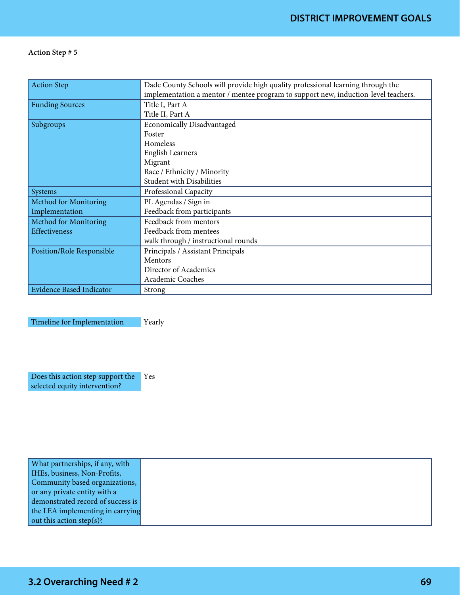| <b>Action Step</b>              | Dade County Schools will provide high quality professional learning through the    |
|---------------------------------|------------------------------------------------------------------------------------|
|                                 | implementation a mentor / mentee program to support new, induction-level teachers. |
| <b>Funding Sources</b>          | Title I, Part A                                                                    |
|                                 | Title II, Part A                                                                   |
| Subgroups                       | <b>Economically Disadvantaged</b>                                                  |
|                                 | Foster                                                                             |
|                                 | <b>Homeless</b>                                                                    |
|                                 | <b>English Learners</b>                                                            |
|                                 | Migrant                                                                            |
|                                 | Race / Ethnicity / Minority                                                        |
|                                 | <b>Student with Disabilities</b>                                                   |
| Systems                         | Professional Capacity                                                              |
| Method for Monitoring           | PL Agendas / Sign in                                                               |
| Implementation                  | Feedback from participants                                                         |
| Method for Monitoring           | Feedback from mentors                                                              |
| Effectiveness                   | Feedback from mentees                                                              |
|                                 | walk through / instructional rounds                                                |
| Position/Role Responsible       | Principals / Assistant Principals                                                  |
|                                 | Mentors                                                                            |
|                                 | Director of Academics                                                              |
|                                 | Academic Coaches                                                                   |
| <b>Evidence Based Indicator</b> | Strong                                                                             |

Timeline for Implementation Yearly

Does this action step support the Yes selected equity intervention?

| What partnerships, if any, with   |
|-----------------------------------|
| IHEs, business, Non-Profits,      |
| Community based organizations,    |
| or any private entity with a      |
| demonstrated record of success is |
| the LEA implementing in carrying  |
| out this action step(s)?          |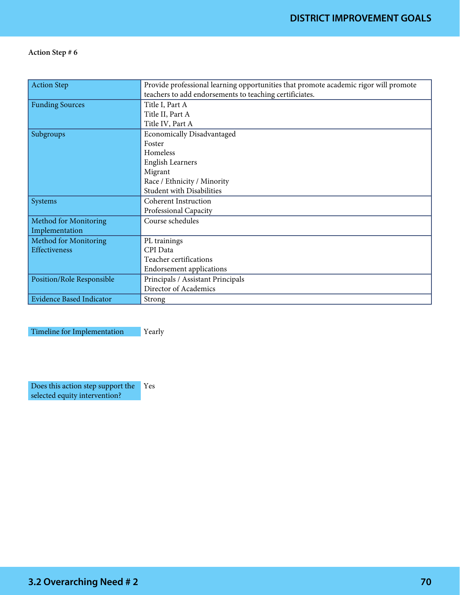| <b>Action Step</b>              | Provide professional learning opportunities that promote academic rigor will promote |
|---------------------------------|--------------------------------------------------------------------------------------|
|                                 | teachers to add endorsements to teaching certificiates.                              |
| <b>Funding Sources</b>          | Title I, Part A                                                                      |
|                                 | Title II, Part A                                                                     |
|                                 | Title IV, Part A                                                                     |
| Subgroups                       | <b>Economically Disadvantaged</b>                                                    |
|                                 | Foster                                                                               |
|                                 | Homeless                                                                             |
|                                 | English Learners                                                                     |
|                                 | Migrant                                                                              |
|                                 | Race / Ethnicity / Minority                                                          |
|                                 | <b>Student with Disabilities</b>                                                     |
| Systems                         | <b>Coherent Instruction</b>                                                          |
|                                 | Professional Capacity                                                                |
| Method for Monitoring           | Course schedules                                                                     |
| Implementation                  |                                                                                      |
| Method for Monitoring           | PL trainings                                                                         |
| Effectiveness                   | CPI Data                                                                             |
|                                 | Teacher certifications                                                               |
|                                 | <b>Endorsement applications</b>                                                      |
| Position/Role Responsible       | Principals / Assistant Principals                                                    |
|                                 | Director of Academics                                                                |
| <b>Evidence Based Indicator</b> | Strong                                                                               |

Timeline for Implementation Yearly

Does this action step support the selected equity intervention? Yes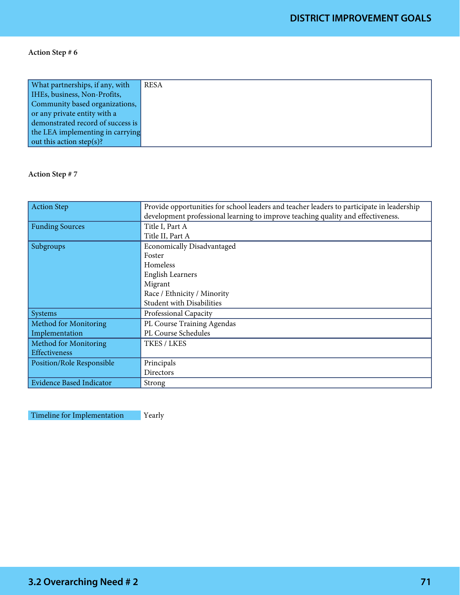| What partnerships, if any, with   | <b>RESA</b> |
|-----------------------------------|-------------|
| IHEs, business, Non-Profits,      |             |
| Community based organizations,    |             |
| or any private entity with a      |             |
| demonstrated record of success is |             |
| the LEA implementing in carrying  |             |
| out this action step(s)?          |             |

#### Action Step # 7

| <b>Action Step</b>              | Provide opportunities for school leaders and teacher leaders to participate in leadership |
|---------------------------------|-------------------------------------------------------------------------------------------|
|                                 | development professional learning to improve teaching quality and effectiveness.          |
| <b>Funding Sources</b>          | Title I, Part A                                                                           |
|                                 | Title II, Part A                                                                          |
| Subgroups                       | <b>Economically Disadvantaged</b>                                                         |
|                                 | Foster                                                                                    |
|                                 | <b>Homeless</b>                                                                           |
|                                 | <b>English Learners</b>                                                                   |
|                                 | Migrant                                                                                   |
|                                 | Race / Ethnicity / Minority                                                               |
|                                 | <b>Student with Disabilities</b>                                                          |
| Systems                         | Professional Capacity                                                                     |
| Method for Monitoring           | PL Course Training Agendas                                                                |
| Implementation                  | PL Course Schedules                                                                       |
| Method for Monitoring           | TKES / LKES                                                                               |
| <b>Effectiveness</b>            |                                                                                           |
| Position/Role Responsible       | Principals                                                                                |
|                                 | Directors                                                                                 |
| <b>Evidence Based Indicator</b> | Strong                                                                                    |

Timeline for Implementation Pearly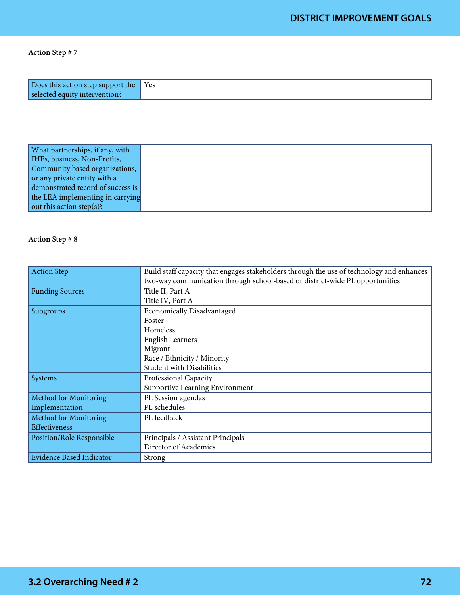| Does this action step support the Yes |  |
|---------------------------------------|--|
| selected equity intervention?         |  |

| What partnerships, if any, with   |
|-----------------------------------|
| IHEs, business, Non-Profits,      |
| Community based organizations,    |
| or any private entity with a      |
| demonstrated record of success is |
| the LEA implementing in carrying  |
| out this action step(s)?          |

| <b>Action Step</b>              | Build staff capacity that engages stakeholders through the use of technology and enhances |
|---------------------------------|-------------------------------------------------------------------------------------------|
|                                 | two-way communication through school-based or district-wide PL opportunities              |
| <b>Funding Sources</b>          | Title II, Part A                                                                          |
|                                 | Title IV, Part A                                                                          |
| Subgroups                       | <b>Economically Disadvantaged</b>                                                         |
|                                 | Foster                                                                                    |
|                                 | Homeless                                                                                  |
|                                 | <b>English Learners</b>                                                                   |
|                                 | Migrant                                                                                   |
|                                 | Race / Ethnicity / Minority                                                               |
|                                 | <b>Student with Disabilities</b>                                                          |
| Systems                         | Professional Capacity                                                                     |
|                                 | Supportive Learning Environment                                                           |
| Method for Monitoring           | PL Session agendas                                                                        |
| Implementation                  | PL schedules                                                                              |
| Method for Monitoring           | PL feedback                                                                               |
| Effectiveness                   |                                                                                           |
| Position/Role Responsible       | Principals / Assistant Principals                                                         |
|                                 | Director of Academics                                                                     |
| <b>Evidence Based Indicator</b> | Strong                                                                                    |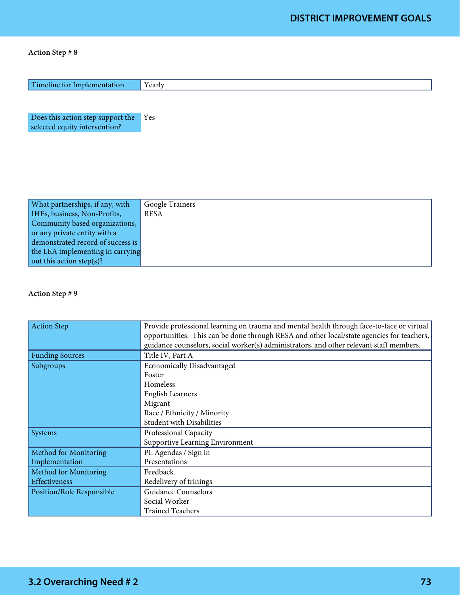| Timeline for Implementation                                        | Yearly          |
|--------------------------------------------------------------------|-----------------|
|                                                                    |                 |
| Does this action step support the<br>selected equity intervention? | Yes             |
|                                                                    |                 |
|                                                                    |                 |
|                                                                    |                 |
| What partnerships, if any, with                                    | Google Trainers |
| IHEs, business, Non-Profits,                                       | <b>RESA</b>     |
| Community based organizations,                                     |                 |
| or any private entity with a                                       |                 |
| demonstrated record of success is                                  |                 |
| the LEA implementing in carrying                                   |                 |
| out this action step(s)?                                           |                 |

| <b>Action Step</b>           | Provide professional learning on trauma and mental health through face-to-face or virtual |
|------------------------------|-------------------------------------------------------------------------------------------|
|                              | opportunities. This can be done through RESA and other local/state agencies for teachers, |
|                              | guidance counselors, social worker(s) administrators, and other relevant staff members.   |
| <b>Funding Sources</b>       | Title IV, Part A                                                                          |
| Subgroups                    | <b>Economically Disadvantaged</b>                                                         |
|                              | Foster                                                                                    |
|                              | Homeless                                                                                  |
|                              | <b>English Learners</b>                                                                   |
|                              | Migrant                                                                                   |
|                              | Race / Ethnicity / Minority                                                               |
|                              | <b>Student with Disabilities</b>                                                          |
| Systems                      | Professional Capacity                                                                     |
|                              | Supportive Learning Environment                                                           |
| <b>Method for Monitoring</b> | PL Agendas / Sign in                                                                      |
| Implementation               | Presentations                                                                             |
| Method for Monitoring        | Feedback                                                                                  |
| <b>Effectiveness</b>         | Redelivery of trinings                                                                    |
| Position/Role Responsible    | <b>Guidance Counselors</b>                                                                |
|                              | Social Worker                                                                             |
|                              | <b>Trained Teachers</b>                                                                   |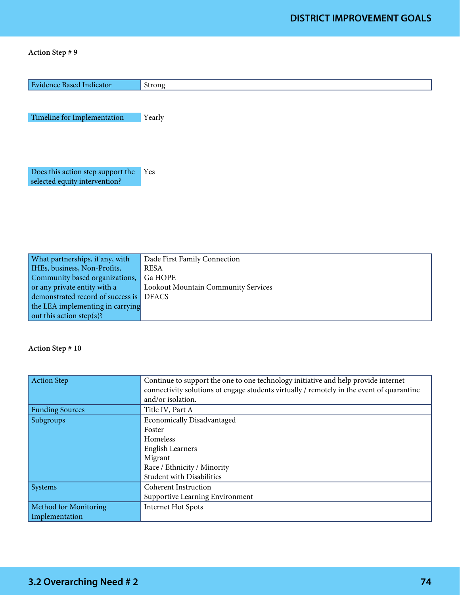| <b>Evidence Based Indicator</b>                                    | Strong                              |
|--------------------------------------------------------------------|-------------------------------------|
| Timeline for Implementation                                        | Yearly                              |
| Does this action step support the<br>selected equity intervention? | Yes                                 |
|                                                                    |                                     |
|                                                                    |                                     |
| What partnerships, if any, with                                    | Dade First Family Connection        |
| IHEs, business, Non-Profits,                                       | <b>RESA</b>                         |
| Community based organizations,                                     | Ga HOPE                             |
| or any private entity with a                                       | Lookout Mountain Community Services |

| What partnerships, if any, with        | Dade First Family Connection        |
|----------------------------------------|-------------------------------------|
| HEs, business, Non-Profits,            | <b>RESA</b>                         |
| Community based organizations, Ga HOPE |                                     |
| or any private entity with a           | Lookout Mountain Community Services |
| demonstrated record of success is      | <b>DFACS</b>                        |
| the LEA implementing in carrying       |                                     |
| out this action step(s)?               |                                     |

| <b>Action Step</b>           | Continue to support the one to one technology initiative and help provide internet<br>connectivity solutions ot engage students virtually / remotely in the event of quarantine<br>and/or isolation. |
|------------------------------|------------------------------------------------------------------------------------------------------------------------------------------------------------------------------------------------------|
| <b>Funding Sources</b>       | Title IV, Part A                                                                                                                                                                                     |
| Subgroups                    | <b>Economically Disadvantaged</b>                                                                                                                                                                    |
|                              | Foster                                                                                                                                                                                               |
|                              | Homeless                                                                                                                                                                                             |
|                              | <b>English Learners</b>                                                                                                                                                                              |
|                              | Migrant                                                                                                                                                                                              |
|                              | Race / Ethnicity / Minority                                                                                                                                                                          |
|                              | <b>Student with Disabilities</b>                                                                                                                                                                     |
| Systems                      | <b>Coherent Instruction</b>                                                                                                                                                                          |
|                              | Supportive Learning Environment                                                                                                                                                                      |
| <b>Method for Monitoring</b> | <b>Internet Hot Spots</b>                                                                                                                                                                            |
| Implementation               |                                                                                                                                                                                                      |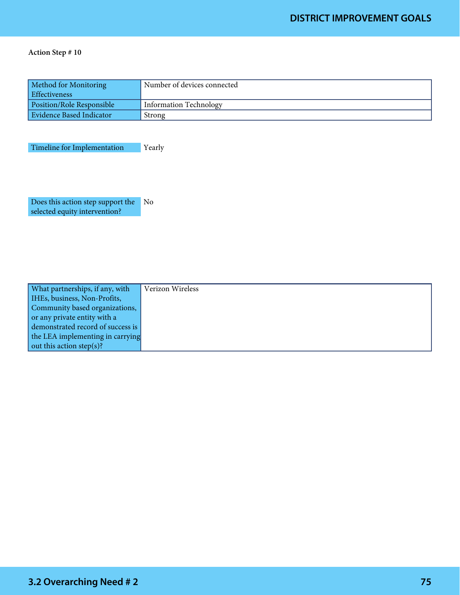| Method for Monitoring<br>Effectiveness | Number of devices connected |
|----------------------------------------|-----------------------------|
| <b>Position/Role Responsible</b>       | Information Technology      |
| Evidence Based Indicator               | Strong                      |

Timeline for Implementation Yearly

Does this action step support the No selected equity intervention?

| What partnerships, if any, with   | Verizon Wireless |
|-----------------------------------|------------------|
| IHEs, business, Non-Profits,      |                  |
| Community based organizations,    |                  |
| or any private entity with a      |                  |
| demonstrated record of success is |                  |
| the LEA implementing in carrying  |                  |
| out this action step(s)?          |                  |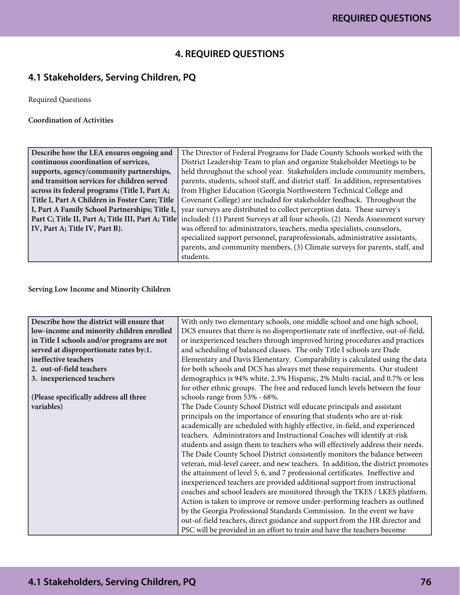### **4. REQUIRED QUESTIONS**

# **4.1 Stakeholders, Serving Children, PQ**

Required Questions

Coordination of Activities

| Describe how the LEA ensures ongoing and           | The Director of Federal Programs for Dade County Schools worked with the          |
|----------------------------------------------------|-----------------------------------------------------------------------------------|
| continuous coordination of services,               | District Leadership Team to plan and organize Stakeholder Meetings to be          |
| supports, agency/community partnerships,           | held throughout the school year. Stakeholders include community members,          |
| and transition services for children served        | parents, students, school staff, and district staff. In addition, representatives |
| across its federal programs (Title I, Part A;      | from Higher Education (Georgia Northwestern Technical College and                 |
| Title I, Part A Children in Foster Care; Title     | Covenant College) are included for stakeholder feedback. Throughout the           |
| I, Part A Family School Partnerships; Title I,     | year surveys are distributed to collect perception data. These survey's           |
| Part C; Title II, Part A; Title III, Part A; Title | included: (1) Parent Surveys at all four schools, (2) Needs Assessment survey     |
| IV, Part A; Title IV, Part B).                     | was offered to: administrators, teachers, media specialists, counselors,          |
|                                                    | specialized support personnel, paraprofessionals, administrative assistants,      |
|                                                    | parents, and community members, (3) Climate surveys for parents, staff, and       |
|                                                    | students.                                                                         |

#### Serving Low Income and Minority Children

| Describe how the district will ensure that<br>With only two elementary schools, one middle school and one high school,<br>low-income and minority children enrolled<br>DCS ensures that there is no disproportionate rate of ineffective, out-of-field,<br>or inexperienced teachers through improved hiring procedures and practices<br>in Title I schools and/or programs are not<br>and scheduling of balanced classes. The only Title I schools are Dade<br>served at disproportionate rates by:1.<br>Elementary and Davis Elementary. Comparability is calculated using the data<br>ineffective teachers<br>for both schools and DCS has always met those requirements. Our student<br>2. out-of-field teachers<br>demographics is 94% white, 2.3% Hispanic, 2% Multi-racial, and 0.7% or less<br>3. inexperienced teachers<br>for other ethnic groups. The free and reduced lunch levels between the four<br>(Please specifically address all three<br>schools range from 53% - 68%.<br>variables)<br>The Dade County School District will educate principals and assistant<br>principals on the importance of ensuring that students who are at-risk<br>academically are scheduled with highly effective, in-field, and experienced<br>teachers. Administrators and Instructional Coaches will identify at-risk |
|------------------------------------------------------------------------------------------------------------------------------------------------------------------------------------------------------------------------------------------------------------------------------------------------------------------------------------------------------------------------------------------------------------------------------------------------------------------------------------------------------------------------------------------------------------------------------------------------------------------------------------------------------------------------------------------------------------------------------------------------------------------------------------------------------------------------------------------------------------------------------------------------------------------------------------------------------------------------------------------------------------------------------------------------------------------------------------------------------------------------------------------------------------------------------------------------------------------------------------------------------------------------------------------------------------------------|
|                                                                                                                                                                                                                                                                                                                                                                                                                                                                                                                                                                                                                                                                                                                                                                                                                                                                                                                                                                                                                                                                                                                                                                                                                                                                                                                        |
|                                                                                                                                                                                                                                                                                                                                                                                                                                                                                                                                                                                                                                                                                                                                                                                                                                                                                                                                                                                                                                                                                                                                                                                                                                                                                                                        |
|                                                                                                                                                                                                                                                                                                                                                                                                                                                                                                                                                                                                                                                                                                                                                                                                                                                                                                                                                                                                                                                                                                                                                                                                                                                                                                                        |
|                                                                                                                                                                                                                                                                                                                                                                                                                                                                                                                                                                                                                                                                                                                                                                                                                                                                                                                                                                                                                                                                                                                                                                                                                                                                                                                        |
|                                                                                                                                                                                                                                                                                                                                                                                                                                                                                                                                                                                                                                                                                                                                                                                                                                                                                                                                                                                                                                                                                                                                                                                                                                                                                                                        |
|                                                                                                                                                                                                                                                                                                                                                                                                                                                                                                                                                                                                                                                                                                                                                                                                                                                                                                                                                                                                                                                                                                                                                                                                                                                                                                                        |
|                                                                                                                                                                                                                                                                                                                                                                                                                                                                                                                                                                                                                                                                                                                                                                                                                                                                                                                                                                                                                                                                                                                                                                                                                                                                                                                        |
|                                                                                                                                                                                                                                                                                                                                                                                                                                                                                                                                                                                                                                                                                                                                                                                                                                                                                                                                                                                                                                                                                                                                                                                                                                                                                                                        |
|                                                                                                                                                                                                                                                                                                                                                                                                                                                                                                                                                                                                                                                                                                                                                                                                                                                                                                                                                                                                                                                                                                                                                                                                                                                                                                                        |
|                                                                                                                                                                                                                                                                                                                                                                                                                                                                                                                                                                                                                                                                                                                                                                                                                                                                                                                                                                                                                                                                                                                                                                                                                                                                                                                        |
|                                                                                                                                                                                                                                                                                                                                                                                                                                                                                                                                                                                                                                                                                                                                                                                                                                                                                                                                                                                                                                                                                                                                                                                                                                                                                                                        |
|                                                                                                                                                                                                                                                                                                                                                                                                                                                                                                                                                                                                                                                                                                                                                                                                                                                                                                                                                                                                                                                                                                                                                                                                                                                                                                                        |
|                                                                                                                                                                                                                                                                                                                                                                                                                                                                                                                                                                                                                                                                                                                                                                                                                                                                                                                                                                                                                                                                                                                                                                                                                                                                                                                        |
| students and assign them to teachers who will effectively address their needs.                                                                                                                                                                                                                                                                                                                                                                                                                                                                                                                                                                                                                                                                                                                                                                                                                                                                                                                                                                                                                                                                                                                                                                                                                                         |
| The Dade County School District consistently monitors the balance between                                                                                                                                                                                                                                                                                                                                                                                                                                                                                                                                                                                                                                                                                                                                                                                                                                                                                                                                                                                                                                                                                                                                                                                                                                              |
| veteran, mid-level career, and new teachers. In addition, the district promotes                                                                                                                                                                                                                                                                                                                                                                                                                                                                                                                                                                                                                                                                                                                                                                                                                                                                                                                                                                                                                                                                                                                                                                                                                                        |
| the attainment of level 5, 6, and 7 professional certificates. Ineffective and                                                                                                                                                                                                                                                                                                                                                                                                                                                                                                                                                                                                                                                                                                                                                                                                                                                                                                                                                                                                                                                                                                                                                                                                                                         |
| inexperienced teachers are provided additional support from instructional                                                                                                                                                                                                                                                                                                                                                                                                                                                                                                                                                                                                                                                                                                                                                                                                                                                                                                                                                                                                                                                                                                                                                                                                                                              |
| coaches and school leaders are monitored through the TKES / LKES platform.                                                                                                                                                                                                                                                                                                                                                                                                                                                                                                                                                                                                                                                                                                                                                                                                                                                                                                                                                                                                                                                                                                                                                                                                                                             |
| Action is taken to improve or remove under-performing teachers as outlined                                                                                                                                                                                                                                                                                                                                                                                                                                                                                                                                                                                                                                                                                                                                                                                                                                                                                                                                                                                                                                                                                                                                                                                                                                             |
| by the Georgia Professional Standards Commission. In the event we have                                                                                                                                                                                                                                                                                                                                                                                                                                                                                                                                                                                                                                                                                                                                                                                                                                                                                                                                                                                                                                                                                                                                                                                                                                                 |
| out-of-field teachers, direct guidance and support from the HR director and                                                                                                                                                                                                                                                                                                                                                                                                                                                                                                                                                                                                                                                                                                                                                                                                                                                                                                                                                                                                                                                                                                                                                                                                                                            |
| PSC will be provided in an effort to train and have the teachers become                                                                                                                                                                                                                                                                                                                                                                                                                                                                                                                                                                                                                                                                                                                                                                                                                                                                                                                                                                                                                                                                                                                                                                                                                                                |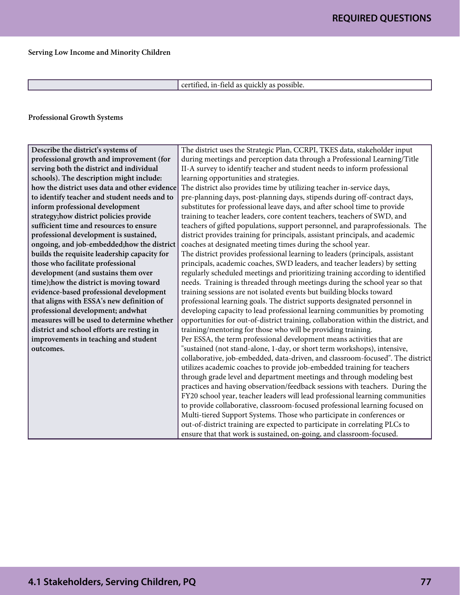#### Serving Low Income and Minority Children

certified, in-field as quickly as possible.

Professional Growth Systems

| Describe the district's systems of            | The district uses the Strategic Plan, CCRPI, TKES data, stakeholder input          |
|-----------------------------------------------|------------------------------------------------------------------------------------|
| professional growth and improvement (for      | during meetings and perception data through a Professional Learning/Title          |
| serving both the district and individual      | II-A survey to identify teacher and student needs to inform professional           |
| schools). The description might include:      | learning opportunities and strategies.                                             |
| how the district uses data and other evidence | The district also provides time by utilizing teacher in-service days,              |
| to identify teacher and student needs and to  | pre-planning days, post-planning days, stipends during off-contract days,          |
| inform professional development               | substitutes for professional leave days, and after school time to provide          |
| strategy;how district policies provide        | training to teacher leaders, core content teachers, teachers of SWD, and           |
| sufficient time and resources to ensure       | teachers of gifted populations, support personnel, and paraprofessionals. The      |
| professional development is sustained,        | district provides training for principals, assistant principals, and academic      |
| ongoing, and job-embedded; how the district   | coaches at designated meeting times during the school year.                        |
| builds the requisite leadership capacity for  | The district provides professional learning to leaders (principals, assistant      |
| those who facilitate professional             | principals, academic coaches, SWD leaders, and teacher leaders) by setting         |
| development (and sustains them over           | regularly scheduled meetings and prioritizing training according to identified     |
| time); how the district is moving toward      | needs. Training is threaded through meetings during the school year so that        |
| evidence-based professional development       | training sessions are not isolated events but building blocks toward               |
| that aligns with ESSA's new definition of     | professional learning goals. The district supports designated personnel in         |
| professional development; andwhat             | developing capacity to lead professional learning communities by promoting         |
| measures will be used to determine whether    | opportunities for out-of-district training, collaboration within the district, and |
| district and school efforts are resting in    | training/mentoring for those who will be providing training.                       |
| improvements in teaching and student          | Per ESSA, the term professional development means activities that are              |
| outcomes.                                     | "sustained (not stand-alone, 1-day, or short term workshops), intensive,           |
|                                               | collaborative, job-embedded, data-driven, and classroom-focused". The district     |
|                                               | utilizes academic coaches to provide job-embedded training for teachers            |
|                                               | through grade level and department meetings and through modeling best              |
|                                               | practices and having observation/feedback sessions with teachers. During the       |
|                                               | FY20 school year, teacher leaders will lead professional learning communities      |
|                                               | to provide collaborative, classroom-focused professional learning focused on       |
|                                               | Multi-tiered Support Systems. Those who participate in conferences or              |
|                                               | out-of-district training are expected to participate in correlating PLCs to        |
|                                               | ensure that that work is sustained, on-going, and classroom-focused.               |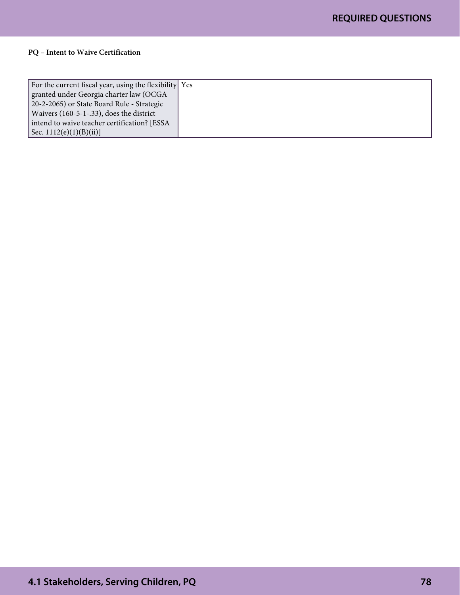#### PQ – Intent to Waive Certification

| For the current fiscal year, using the flexibility Yes |  |
|--------------------------------------------------------|--|
| granted under Georgia charter law (OCGA                |  |
| 20-2-2065) or State Board Rule - Strategic             |  |
| Waivers $(160-5-1-.33)$ , does the district            |  |
| intend to waive teacher certification? [ESSA]          |  |
| Sec. $1112(e)(1)(B)(ii)$                               |  |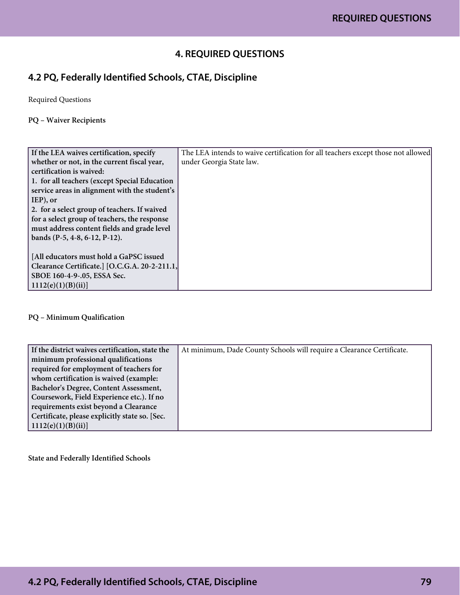### **4. REQUIRED QUESTIONS**

## **4.2 PQ, Federally Identified Schools, CTAE, Discipline**

Required Questions

#### PQ – Waiver Recipients

| If the LEA waives certification, specify      | The LEA intends to waive certification for all teachers except those not allowed |
|-----------------------------------------------|----------------------------------------------------------------------------------|
| whether or not, in the current fiscal year,   | under Georgia State law.                                                         |
| certification is waived:                      |                                                                                  |
| 1. for all teachers (except Special Education |                                                                                  |
| service areas in alignment with the student's |                                                                                  |
| IEP), or                                      |                                                                                  |
| 2. for a select group of teachers. If waived  |                                                                                  |
| for a select group of teachers, the response  |                                                                                  |
| must address content fields and grade level   |                                                                                  |
| bands (P-5, 4-8, 6-12, P-12).                 |                                                                                  |
|                                               |                                                                                  |
| [All educators must hold a GaPSC issued       |                                                                                  |
| Clearance Certificate. [O.C.G.A. 20-2-211.1,  |                                                                                  |
| SBOE 160-4-9-.05, ESSA Sec.                   |                                                                                  |
| 1112(e)(1)(B)(ii)                             |                                                                                  |

#### PQ – Minimum Qualification

| If the district waives certification, state the | At minimum, Dade County Schools will require a Clearance Certificate. |
|-------------------------------------------------|-----------------------------------------------------------------------|
| minimum professional qualifications             |                                                                       |
| required for employment of teachers for         |                                                                       |
| whom certification is waived (example:          |                                                                       |
| Bachelor's Degree, Content Assessment,          |                                                                       |
| Coursework, Field Experience etc.). If no       |                                                                       |
| requirements exist beyond a Clearance           |                                                                       |
| Certificate, please explicitly state so. [Sec.] |                                                                       |
| 1112(e)(1)(B)(ii)                               |                                                                       |

State and Federally Identified Schools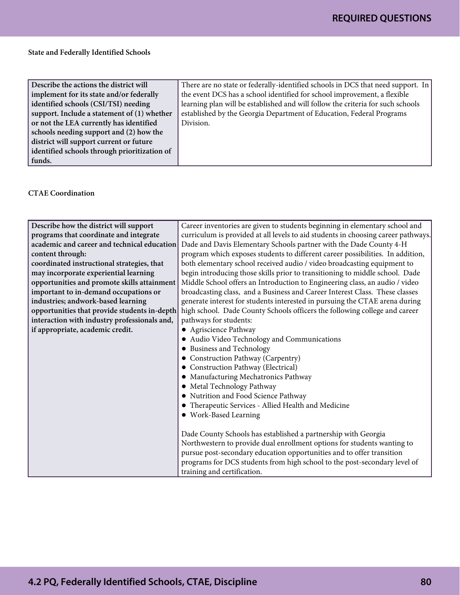#### State and Federally Identified Schools

| Describe the actions the district will        | There are no state or federally-identified schools in DCS that need support. In |
|-----------------------------------------------|---------------------------------------------------------------------------------|
| implement for its state and/or federally      | the event DCS has a school identified for school improvement, a flexible        |
| identified schools (CSI/TSI) needing          | learning plan will be established and will follow the criteria for such schools |
| support. Include a statement of $(1)$ whether | established by the Georgia Department of Education, Federal Programs            |
| or not the LEA currently has identified       | Division.                                                                       |
| schools needing support and (2) how the       |                                                                                 |
| district will support current or future       |                                                                                 |
| identified schools through prioritization of  |                                                                                 |
| funds.                                        |                                                                                 |

#### CTAE Coordination

| Describe how the district will support       | Career inventories are given to students beginning in elementary school and       |
|----------------------------------------------|-----------------------------------------------------------------------------------|
| programs that coordinate and integrate       | curriculum is provided at all levels to aid students in choosing career pathways. |
| academic and career and technical education  | Dade and Davis Elementary Schools partner with the Dade County 4-H                |
| content through:                             | program which exposes students to different career possibilities. In addition,    |
| coordinated instructional strategies, that   | both elementary school received audio / video broadcasting equipment to           |
| may incorporate experiential learning        | begin introducing those skills prior to transitioning to middle school. Dade      |
| opportunities and promote skills attainment  | Middle School offers an Introduction to Engineering class, an audio / video       |
| important to in-demand occupations or        | broadcasting class, and a Business and Career Interest Class. These classes       |
| industries; andwork-based learning           | generate interest for students interested in pursuing the CTAE arena during       |
| opportunities that provide students in-depth | high school. Dade County Schools officers the following college and career        |
| interaction with industry professionals and, | pathways for students:                                                            |
| if appropriate, academic credit.             | • Agriscience Pathway                                                             |
|                                              | • Audio Video Technology and Communications                                       |
|                                              | • Business and Technology                                                         |
|                                              | • Construction Pathway (Carpentry)                                                |
|                                              | • Construction Pathway (Electrical)                                               |
|                                              | • Manufacturing Mechatronics Pathway                                              |
|                                              | • Metal Technology Pathway                                                        |
|                                              | • Nutrition and Food Science Pathway                                              |
|                                              | • Therapeutic Services - Allied Health and Medicine                               |
|                                              | • Work-Based Learning                                                             |
|                                              |                                                                                   |
|                                              | Dade County Schools has established a partnership with Georgia                    |
|                                              | Northwestern to provide dual enrollment options for students wanting to           |
|                                              | pursue post-secondary education opportunities and to offer transition             |
|                                              | programs for DCS students from high school to the post-secondary level of         |
|                                              | training and certification.                                                       |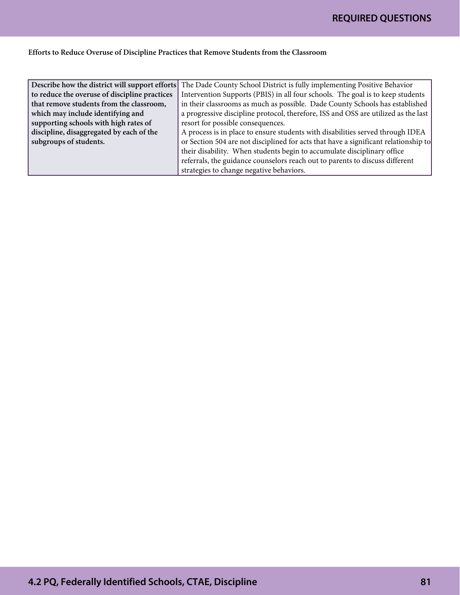#### Efforts to Reduce Overuse of Discipline Practices that Remove Students from the Classroom

|                                               | Describe how the district will support efforts The Dade County School District is fully implementing Positive Behavior |
|-----------------------------------------------|------------------------------------------------------------------------------------------------------------------------|
| to reduce the overuse of discipline practices | Intervention Supports (PBIS) in all four schools. The goal is to keep students                                         |
| that remove students from the classroom,      | in their classrooms as much as possible. Dade County Schools has established                                           |
| which may include identifying and             | a progressive discipline protocol, therefore, ISS and OSS are utilized as the last                                     |
| supporting schools with high rates of         | resort for possible consequences.                                                                                      |
| discipline, disaggregated by each of the      | A process is in place to ensure students with disabilities served through IDEA                                         |
| subgroups of students.                        | or Section 504 are not disciplined for acts that have a significant relationship to                                    |
|                                               | their disability. When students begin to accumulate disciplinary office                                                |
|                                               | referrals, the guidance counselors reach out to parents to discuss different                                           |
|                                               | strategies to change negative behaviors.                                                                               |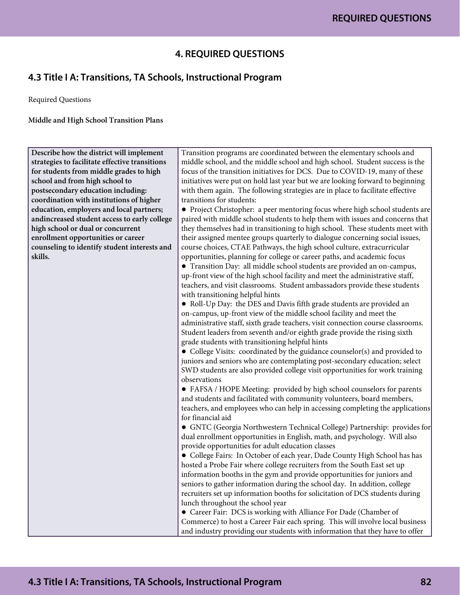### **4. REQUIRED QUESTIONS**

# **4.3 Title I A: Transitions, TA Schools, Instructional Program**

Required Questions

Middle and High School Transition Plans

| Describe how the district will implement       | Transition programs are coordinated between the elementary schools and          |
|------------------------------------------------|---------------------------------------------------------------------------------|
| strategies to facilitate effective transitions | middle school, and the middle school and high school. Student success is the    |
| for students from middle grades to high        | focus of the transition initiatives for DCS. Due to COVID-19, many of these     |
| school and from high school to                 | initiatives were put on hold last year but we are looking forward to beginning  |
| postsecondary education including:             | with them again. The following strategies are in place to facilitate effective  |
| coordination with institutions of higher       | transitions for students:                                                       |
| education, employers and local partners;       | • Project Christopher: a peer mentoring focus where high school students are    |
| andincreased student access to early college   | paired with middle school students to help them with issues and concerns that   |
| high school or dual or concurrent              | they themselves had in transitioning to high school. These students meet with   |
| enrollment opportunities or career             | their assigned mentee groups quarterly to dialogue concerning social issues,    |
| counseling to identify student interests and   | course choices, CTAE Pathways, the high school culture, extracurricular         |
| skills.                                        | opportunities, planning for college or career paths, and academic focus         |
|                                                | • Transition Day: all middle school students are provided an on-campus,         |
|                                                | up-front view of the high school facility and meet the administrative staff,    |
|                                                | teachers, and visit classrooms. Student ambassadors provide these students      |
|                                                | with transitioning helpful hints                                                |
|                                                | • Roll-Up Day: the DES and Davis fifth grade students are provided an           |
|                                                | on-campus, up-front view of the middle school facility and meet the             |
|                                                | administrative staff, sixth grade teachers, visit connection course classrooms. |
|                                                | Student leaders from seventh and/or eighth grade provide the rising sixth       |
|                                                | grade students with transitioning helpful hints                                 |
|                                                | • College Visits: coordinated by the guidance counselor(s) and provided to      |
|                                                | juniors and seniors who are contemplating post-secondary education; select      |
|                                                | SWD students are also provided college visit opportunities for work training    |
|                                                | observations                                                                    |
|                                                | • FAFSA / HOPE Meeting: provided by high school counselors for parents          |
|                                                | and students and facilitated with community volunteers, board members,          |
|                                                | teachers, and employees who can help in accessing completing the applications   |
|                                                | for financial aid                                                               |
|                                                | · GNTC (Georgia Northwestern Technical College) Partnership: provides for       |
|                                                | dual enrollment opportunities in English, math, and psychology. Will also       |
|                                                | provide opportunities for adult education classes                               |
|                                                | • College Fairs: In October of each year, Dade County High School has has       |
|                                                | hosted a Probe Fair where college recruiters from the South East set up         |
|                                                | information booths in the gym and provide opportunities for juniors and         |
|                                                | seniors to gather information during the school day. In addition, college       |
|                                                | recruiters set up information booths for solicitation of DCS students during    |
|                                                | lunch throughout the school year                                                |
|                                                | • Career Fair: DCS is working with Alliance For Dade (Chamber of                |
|                                                | Commerce) to host a Career Fair each spring. This will involve local business   |
|                                                | and industry providing our students with information that they have to offer    |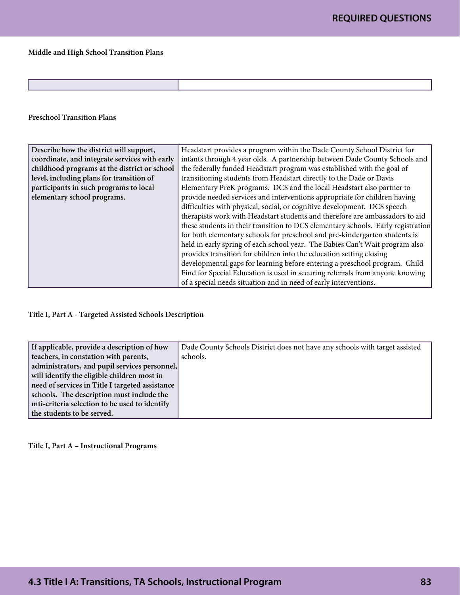Middle and High School Transition Plans

#### Preschool Transition Plans

| Describe how the district will support,       | Headstart provides a program within the Dade County School District for          |
|-----------------------------------------------|----------------------------------------------------------------------------------|
| coordinate, and integrate services with early | infants through 4 year olds. A partnership between Dade County Schools and       |
| childhood programs at the district or school  | the federally funded Headstart program was established with the goal of          |
| level, including plans for transition of      | transitioning students from Headstart directly to the Dade or Davis              |
| participants in such programs to local        | Elementary PreK programs. DCS and the local Headstart also partner to            |
| elementary school programs.                   | provide needed services and interventions appropriate for children having        |
|                                               | difficulties with physical, social, or cognitive development. DCS speech         |
|                                               | therapists work with Headstart students and therefore are ambassadors to aid     |
|                                               | these students in their transition to DCS elementary schools. Early registration |
|                                               | for both elementary schools for preschool and pre-kindergarten students is       |
|                                               | held in early spring of each school year. The Babies Can't Wait program also     |
|                                               | provides transition for children into the education setting closing              |
|                                               | developmental gaps for learning before entering a preschool program. Child       |
|                                               | Find for Special Education is used in securing referrals from anyone knowing     |
|                                               | of a special needs situation and in need of early interventions.                 |

#### Title I, Part A - Targeted Assisted Schools Description

| If applicable, provide a description of how     | Dade County Schools District does not have any schools with target assisted |
|-------------------------------------------------|-----------------------------------------------------------------------------|
| teachers, in constation with parents,           | schools.                                                                    |
| administrators, and pupil services personnel,   |                                                                             |
| will identify the eligible children most in     |                                                                             |
| need of services in Title I targeted assistance |                                                                             |
| schools. The description must include the       |                                                                             |
| mti-criteria selection to be used to identify   |                                                                             |
| the students to be served.                      |                                                                             |

Title I, Part A – Instructional Programs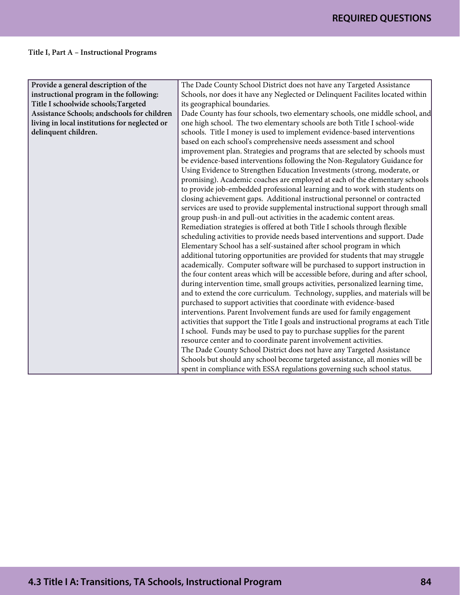### Title I, Part A – Instructional Programs

| Provide a general description of the          | The Dade County School District does not have any Targeted Assistance              |
|-----------------------------------------------|------------------------------------------------------------------------------------|
| instructional program in the following:       | Schools, nor does it have any Neglected or Delinquent Facilites located within     |
| Title I schoolwide schools; Targeted          | its geographical boundaries.                                                       |
| Assistance Schools; andschools for children   | Dade County has four schools, two elementary schools, one middle school, and       |
| living in local institutions for neglected or | one high school. The two elementary schools are both Title I school-wide           |
| delinquent children.                          | schools. Title I money is used to implement evidence-based interventions           |
|                                               | based on each school's comprehensive needs assessment and school                   |
|                                               | improvement plan. Strategies and programs that are selected by schools must        |
|                                               | be evidence-based interventions following the Non-Regulatory Guidance for          |
|                                               | Using Evidence to Strengthen Education Investments (strong, moderate, or           |
|                                               | promising). Academic coaches are employed at each of the elementary schools        |
|                                               | to provide job-embedded professional learning and to work with students on         |
|                                               | closing achievement gaps. Additional instructional personnel or contracted         |
|                                               | services are used to provide supplemental instructional support through small      |
|                                               | group push-in and pull-out activities in the academic content areas.               |
|                                               | Remediation strategies is offered at both Title I schools through flexible         |
|                                               | scheduling activities to provide needs based interventions and support. Dade       |
|                                               | Elementary School has a self-sustained after school program in which               |
|                                               | additional tutoring opportunities are provided for students that may struggle      |
|                                               | academically. Computer software will be purchased to support instruction in        |
|                                               | the four content areas which will be accessible before, during and after school,   |
|                                               | during intervention time, small groups activities, personalized learning time,     |
|                                               | and to extend the core curriculum. Technology, supplies, and materials will be     |
|                                               | purchased to support activities that coordinate with evidence-based                |
|                                               | interventions. Parent Involvement funds are used for family engagement             |
|                                               | activities that support the Title I goals and instructional programs at each Title |
|                                               | I school. Funds may be used to pay to purchase supplies for the parent             |
|                                               | resource center and to coordinate parent involvement activities.                   |
|                                               | The Dade County School District does not have any Targeted Assistance              |
|                                               | Schools but should any school become targeted assistance, all monies will be       |
|                                               | spent in compliance with ESSA regulations governing such school status.            |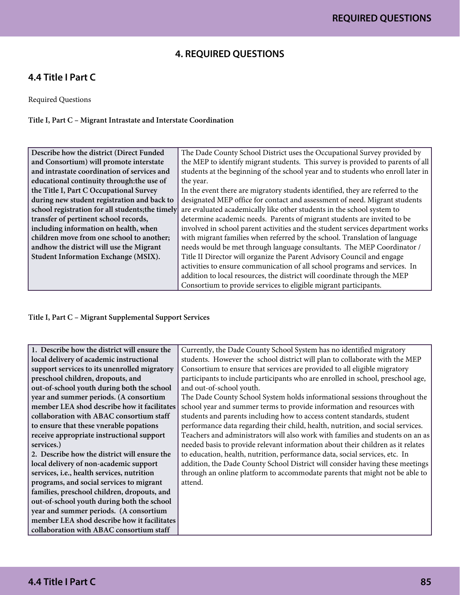### **4. REQUIRED QUESTIONS**

### **4.4 Title I Part C**

Required Questions

Title I, Part C – Migrant Intrastate and Interstate Coordination

| Describe how the district (Direct Funded         | The Dade County School District uses the Occupational Survey provided by         |
|--------------------------------------------------|----------------------------------------------------------------------------------|
| and Consortium) will promote interstate          | the MEP to identify migrant students. This survey is provided to parents of all  |
| and intrastate coordination of services and      | students at the beginning of the school year and to students who enroll later in |
| educational continuity through: the use of       | the year.                                                                        |
| the Title I, Part C Occupational Survey          | In the event there are migratory students identified, they are referred to the   |
| during new student registration and back to      | designated MEP office for contact and assessment of need. Migrant students       |
| school registration for all students; the timely | are evaluated academically like other students in the school system to           |
| transfer of pertinent school records,            | determine academic needs. Parents of migrant students are invited to be          |
| including information on health, when            | involved in school parent activities and the student services department works   |
| children move from one school to another;        | with migrant families when referred by the school. Translation of language       |
| andhow the district will use the Migrant         | needs would be met through language consultants. The MEP Coordinator /           |
| Student Information Exchange (MSIX).             | Title II Director will organize the Parent Advisory Council and engage           |
|                                                  | activities to ensure communication of all school programs and services. In       |
|                                                  | addition to local resources, the district will coordinate through the MEP        |
|                                                  | Consortium to provide services to eligible migrant participants.                 |

Title I, Part C – Migrant Supplemental Support Services

| 1. Describe how the district will ensure the | Currently, the Dade County School System has no identified migratory            |
|----------------------------------------------|---------------------------------------------------------------------------------|
| local delivery of academic instructional     | students. However the school district will plan to collaborate with the MEP     |
| support services to its unenrolled migratory | Consortium to ensure that services are provided to all eligible migratory       |
| preschool children, dropouts, and            | participants to include participants who are enrolled in school, preschool age, |
| out-of-school youth during both the school   | and out-of-school youth.                                                        |
| year and summer periods. (A consortium       | The Dade County School System holds informational sessions throughout the       |
| member LEA shod describe how it facilitates  | school year and summer terms to provide information and resources with          |
| collaboration with ABAC consortium staff     | students and parents including how to access content standards, student         |
| to ensure that these vnerable popations      | performance data regarding their child, health, nutrition, and social services. |
| receive appropriate instructional support    | Teachers and administrators will also work with families and students on an as  |
| services.)                                   | needed basis to provide relevant information about their children as it relates |
| 2. Describe how the district will ensure the | to education, health, nutrition, performance data, social services, etc. In     |
| local delivery of non-academic support       | addition, the Dade County School District will consider having these meetings   |
| services, i.e., health services, nutrition   | through an online platform to accommodate parents that might not be able to     |
| programs, and social services to migrant     | attend.                                                                         |
| families, preschool children, dropouts, and  |                                                                                 |
| out-of-school youth during both the school   |                                                                                 |
| year and summer periods. (A consortium       |                                                                                 |
| member LEA shod describe how it facilitates  |                                                                                 |
| collaboration with ABAC consortium staff     |                                                                                 |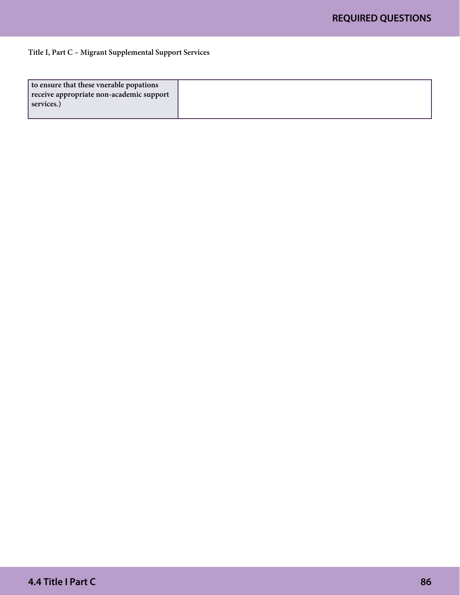#### Title I, Part C – Migrant Supplemental Support Services

| to ensure that these vnerable popations  |  |
|------------------------------------------|--|
| receive appropriate non-academic support |  |
| services.)                               |  |
|                                          |  |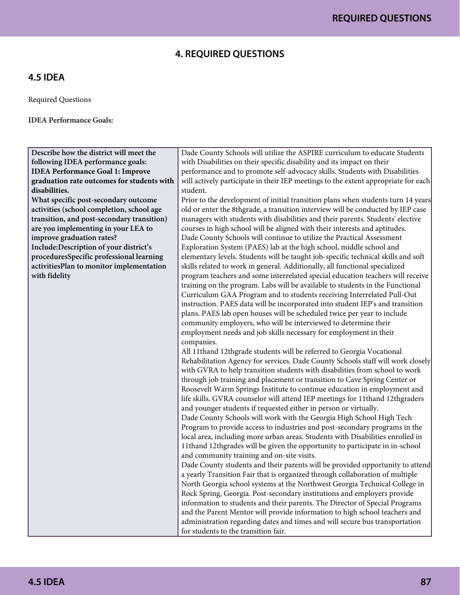### **4. REQUIRED QUESTIONS**

### **4.5 IDEA**

Required Questions

IDEA Performance Goals:

Describe how the district will meet the following IDEA performance goals: **IDEA Performance Goal 1: Improve graduation rate outcomes for students with disabilities.**

What specific post-secondary outcome activities (school completion, school age transition, and post-secondary transition) are you implementing in your LEA to improve graduation rates? Include:Description of your district's proceduresSpecific professional learning activitiesPlan to monitor implementation with fidelity

Dade County Schools will utilize the ASPIRE curriculum to educate Students with Disabilities on their specific disability and its impact on their performance and to promote self-advocacy skills. Students with Disabilities will actively participate in their IEP meetings to the extent appropriate for each student.

Prior to the development of initial transition plans when students turn 14 years old or enter the 8thgrade, a transition interview will be conducted by IEP case managers with students with disabilities and their parents. Students' elective courses in high school will be aligned with their interests and aptitudes. Dade County Schools will continue to utilize the Practical Assessment Exploration System (PAES) lab at the high school, middle school and elementary levels. Students will be taught job-specific technical skills and soft skills related to work in general. Additionally, all functional specialized program teachers and some interrelated special education teachers will receive training on the program. Labs will be available to students in the Functional Curriculum GAA Program and to students receiving Interrelated Pull-Out instruction. PAES data will be incorporated into student IEP's and transition plans. PAES lab open houses will be scheduled twice per year to include community employers, who will be interviewed to determine their employment needs and job skills necessary for employment in their companies.

All 11thand 12thgrade students will be referred to Georgia Vocational Rehabilitation Agency for services. Dade County Schools staff will work closely with GVRA to help transition students with disabilities from school to work through job training and placement or transition to Cave Spring Center or Roosevelt Warm Springs Institute to continue education in employment and life skills. GVRA counselor will attend IEP meetings for 11thand 12thgraders and younger students if requested either in person or virtually.

Dade County Schools will work with the Georgia High School High Tech Program to provide access to industries and post-secondary programs in the local area, including more urban areas. Students with Disabilities enrolled in 11thand 12thgrades will be given the opportunity to participate in in-school and community training and on-site visits.

Dade County students and their parents will be provided opportunity to attend a yearly Transition Fair that is organized through collaboration of multiple North Georgia school systems at the Northwest Georgia Technical College in Rock Spring, Georgia. Post-secondary institutions and employers provide information to students and their parents. The Director of Special Programs and the Parent Mentor will provide information to high school teachers and administration regarding dates and times and will secure bus transportation for students to the transition fair.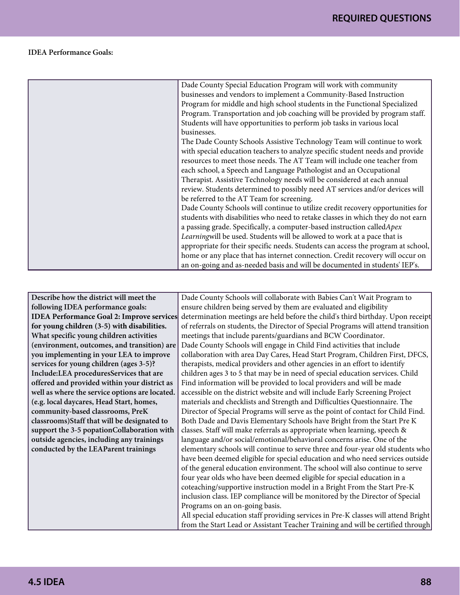#### IDEA Performance Goals:

| Dade County Special Education Program will work with community                   |
|----------------------------------------------------------------------------------|
| businesses and vendors to implement a Community-Based Instruction                |
| Program for middle and high school students in the Functional Specialized        |
| Program. Transportation and job coaching will be provided by program staff.      |
| Students will have opportunities to perform job tasks in various local           |
| businesses.                                                                      |
| The Dade County Schools Assistive Technology Team will continue to work          |
| with special education teachers to analyze specific student needs and provide    |
| resources to meet those needs. The AT Team will include one teacher from         |
| each school, a Speech and Language Pathologist and an Occupational               |
| Therapist. Assistive Technology needs will be considered at each annual          |
| review. Students determined to possibly need AT services and/or devices will     |
| be referred to the AT Team for screening.                                        |
| Dade County Schools will continue to utilize credit recovery opportunities for   |
| students with disabilities who need to retake classes in which they do not earn  |
| a passing grade. Specifically, a computer-based instruction called Apex          |
| Learningwill be used. Students will be allowed to work at a pace that is         |
| appropriate for their specific needs. Students can access the program at school, |
| home or any place that has internet connection. Credit recovery will occur on    |
| an on-going and as-needed basis and will be documented in students' IEP's.       |

| Describe how the district will meet the          | Dade County Schools will collaborate with Babies Can't Wait Program to             |
|--------------------------------------------------|------------------------------------------------------------------------------------|
| following IDEA performance goals:                | ensure children being served by them are evaluated and eligibility                 |
| <b>IDEA Performance Goal 2: Improve services</b> | determination meetings are held before the child's third birthday. Upon receipt    |
| for young children (3-5) with disabilities.      | of referrals on students, the Director of Special Programs will attend transition  |
| What specific young children activities          | meetings that include parents/guardians and BCW Coordinator.                       |
| (environment, outcomes, and transition) are      | Dade County Schools will engage in Child Find activities that include              |
| you implementing in your LEA to improve          | collaboration with area Day Cares, Head Start Program, Children First, DFCS,       |
| services for young children (ages 3-5)?          | therapists, medical providers and other agencies in an effort to identify          |
| Include:LEA proceduresServices that are          | children ages 3 to 5 that may be in need of special education services. Child      |
| offered and provided within your district as     | Find information will be provided to local providers and will be made              |
| well as where the service options are located.   | accessible on the district website and will include Early Screening Project        |
| (e.g. local daycares, Head Start, homes,         | materials and checklists and Strength and Difficulties Questionnaire. The          |
| community-based classrooms, PreK                 | Director of Special Programs will serve as the point of contact for Child Find.    |
| classrooms) Staff that will be designated to     | Both Dade and Davis Elementary Schools have Bright from the Start Pre K            |
| support the 3-5 popationCollaboration with       | classes. Staff will make referrals as appropriate when learning, speech &          |
| outside agencies, including any trainings        | language and/or social/emotional/behavioral concerns arise. One of the             |
| conducted by the LEAParent trainings             | elementary schools will continue to serve three and four-year old students who     |
|                                                  | have been deemed eligible for special education and who need services outside      |
|                                                  | of the general education environment. The school will also continue to serve       |
|                                                  | four year olds who have been deemed eligible for special education in a            |
|                                                  | coteaching/supportive instruction model in a Bright From the Start Pre-K           |
|                                                  | inclusion class. IEP compliance will be monitored by the Director of Special       |
|                                                  | Programs on an on-going basis.                                                     |
|                                                  | All special education staff providing services in Pre-K classes will attend Bright |
|                                                  | from the Start Lead or Assistant Teacher Training and will be certified through    |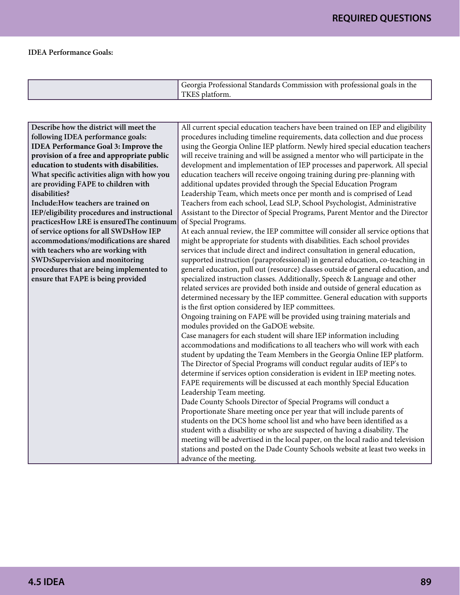#### IDEA Performance Goals:

| Georgia Professional Standards Commission with professional goals in the<br>TKES platform. |
|--------------------------------------------------------------------------------------------|
|                                                                                            |

| Describe how the district will meet the      | All current special education teachers have been trained on IEP and eligibility  |
|----------------------------------------------|----------------------------------------------------------------------------------|
| following IDEA performance goals:            | procedures including timeline requirements, data collection and due process      |
| <b>IDEA Performance Goal 3: Improve the</b>  | using the Georgia Online IEP platform. Newly hired special education teachers    |
| provision of a free and appropriate public   | will receive training and will be assigned a mentor who will participate in the  |
| education to students with disabilities.     | development and implementation of IEP processes and paperwork. All special       |
| What specific activities align with how you  | education teachers will receive ongoing training during pre-planning with        |
| are providing FAPE to children with          | additional updates provided through the Special Education Program                |
| disabilities?                                | Leadership Team, which meets once per month and is comprised of Lead             |
| Include: How teachers are trained on         | Teachers from each school, Lead SLP, School Psychologist, Administrative         |
| IEP/eligibility procedures and instructional | Assistant to the Director of Special Programs, Parent Mentor and the Director    |
| practicesHow LRE is ensuredThe continuum     | of Special Programs.                                                             |
| of service options for all SWDsHow IEP       | At each annual review, the IEP committee will consider all service options that  |
| accommodations/modifications are shared      | might be appropriate for students with disabilities. Each school provides        |
| with teachers who are working with           | services that include direct and indirect consultation in general education,     |
| SWDsSupervision and monitoring               | supported instruction (paraprofessional) in general education, co-teaching in    |
| procedures that are being implemented to     | general education, pull out (resource) classes outside of general education, and |
| ensure that FAPE is being provided           | specialized instruction classes. Additionally, Speech & Language and other       |
|                                              | related services are provided both inside and outside of general education as    |
|                                              | determined necessary by the IEP committee. General education with supports       |
|                                              | is the first option considered by IEP committees.                                |
|                                              | Ongoing training on FAPE will be provided using training materials and           |
|                                              | modules provided on the GaDOE website.                                           |
|                                              | Case managers for each student will share IEP information including              |
|                                              | accommodations and modifications to all teachers who will work with each         |
|                                              | student by updating the Team Members in the Georgia Online IEP platform.         |
|                                              | The Director of Special Programs will conduct regular audits of IEP's to         |
|                                              | determine if services option consideration is evident in IEP meeting notes.      |
|                                              | FAPE requirements will be discussed at each monthly Special Education            |
|                                              | Leadership Team meeting.                                                         |
|                                              | Dade County Schools Director of Special Programs will conduct a                  |
|                                              | Proportionate Share meeting once per year that will include parents of           |
|                                              | students on the DCS home school list and who have been identified as a           |
|                                              | student with a disability or who are suspected of having a disability. The       |
|                                              | meeting will be advertised in the local paper, on the local radio and television |
|                                              | stations and posted on the Dade County Schools website at least two weeks in     |
|                                              | advance of the meeting.                                                          |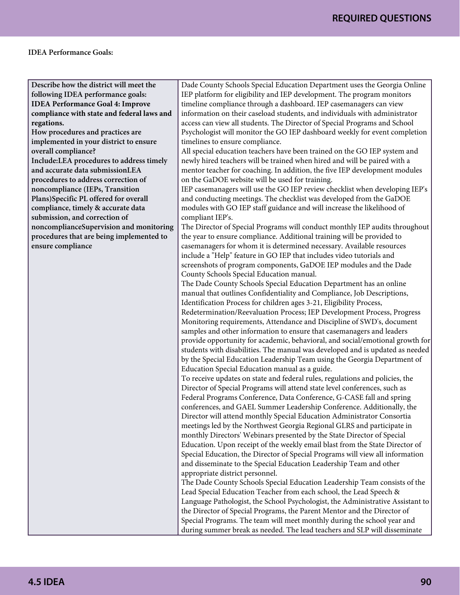### **REQUIRED QUESTIONS**

#### IDEA Performance Goals:

Describe how the district will meet the following IDEA performance goals: **IDEA Performance Goal 4: Improve compliance with state and federal laws and regations.**

How procedures and practices are implemented in your district to ensure overall compliance? Include:LEA procedures to address timely and accurate data submissionLEA procedures to address correction of noncompliance (IEPs, Transition Plans)Specific PL offered for overall compliance, timely & accurate data submission, and correction of noncomplianceSupervision and monitoring procedures that are being implemented to ensure compliance

Dade County Schools Special Education Department uses the Georgia Online IEP platform for eligibility and IEP development. The program monitors timeline compliance through a dashboard. IEP casemanagers can view information on their caseload students, and individuals with administrator access can view all students. The Director of Special Programs and School Psychologist will monitor the GO IEP dashboard weekly for event completion timelines to ensure compliance.

All special education teachers have been trained on the GO IEP system and newly hired teachers will be trained when hired and will be paired with a mentor teacher for coaching. In addition, the five IEP development modules on the GaDOE website will be used for training.

IEP casemanagers will use the GO IEP review checklist when developing IEP's and conducting meetings. The checklist was developed from the GaDOE modules with GO IEP staff guidance and will increase the likelihood of compliant IEP's.

The Director of Special Programs will conduct monthly IEP audits throughout the year to ensure compliance. Additional training will be provided to casemanagers for whom it is determined necessary. Available resources include a "Help" feature in GO IEP that includes video tutorials and screenshots of program components, GaDOE IEP modules and the Dade County Schools Special Education manual.

The Dade County Schools Special Education Department has an online manual that outlines Confidentiality and Compliance, Job Descriptions, Identification Process for children ages 3-21, Eligibility Process,

Redetermination/Reevaluation Process; IEP Development Process, Progress Monitoring requirements, Attendance and Discipline of SWD's, document samples and other information to ensure that casemanagers and leaders provide opportunity for academic, behavioral, and social/emotional growth for students with disabilities. The manual was developed and is updated as needed by the Special Education Leadership Team using the Georgia Department of Education Special Education manual as a guide.

To receive updates on state and federal rules, regulations and policies, the Director of Special Programs will attend state level conferences, such as Federal Programs Conference, Data Conference, G-CASE fall and spring conferences, and GAEL Summer Leadership Conference. Additionally, the Director will attend monthly Special Education Administrator Consortia meetings led by the Northwest Georgia Regional GLRS and participate in monthly Directors' Webinars presented by the State Director of Special Education. Upon receipt of the weekly email blast from the State Director of Special Education, the Director of Special Programs will view all information and disseminate to the Special Education Leadership Team and other appropriate district personnel.

The Dade County Schools Special Education Leadership Team consists of the Lead Special Education Teacher from each school, the Lead Speech & Language Pathologist, the School Psychologist, the Administrative Assistant to the Director of Special Programs, the Parent Mentor and the Director of Special Programs. The team will meet monthly during the school year and during summer break as needed. The lead teachers and SLP will disseminate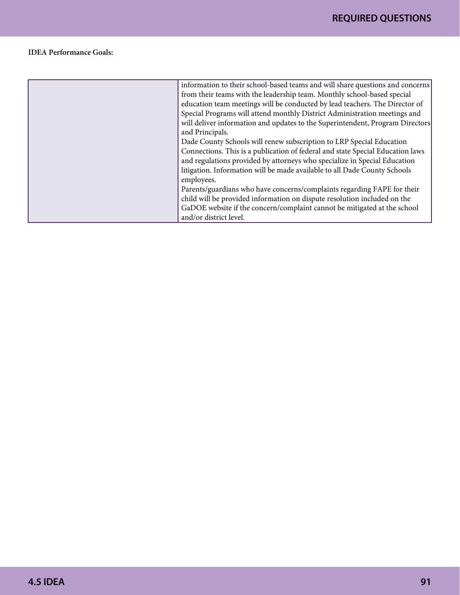#### IDEA Performance Goals:

| information to their school-based teams and will share questions and concerns  |
|--------------------------------------------------------------------------------|
| from their teams with the leadership team. Monthly school-based special        |
| education team meetings will be conducted by lead teachers. The Director of    |
| Special Programs will attend monthly District Administration meetings and      |
| will deliver information and updates to the Superintendent, Program Directors  |
| and Principals.                                                                |
| Dade County Schools will renew subscription to LRP Special Education           |
| Connections. This is a publication of federal and state Special Education laws |
| and regulations provided by attorneys who specialize in Special Education      |
| litigation. Information will be made available to all Dade County Schools      |
| employees.                                                                     |
| Parents/guardians who have concerns/complaints regarding FAPE for their        |
| child will be provided information on dispute resolution included on the       |
| GaDOE website if the concern/complaint cannot be mitigated at the school       |
| and/or district level.                                                         |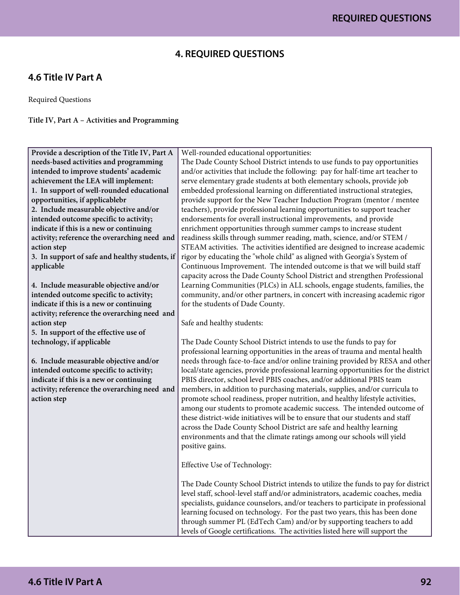### **4. REQUIRED QUESTIONS**

### **4.6 Title IV Part A**

Required Questions

Title IV, Part A – Activities and Programming

| Provide a description of the Title IV, Part A  | Well-rounded educational opportunities:                                            |
|------------------------------------------------|------------------------------------------------------------------------------------|
| needs-based activities and programming         | The Dade County School District intends to use funds to pay opportunities          |
| intended to improve students' academic         | and/or activities that include the following: pay for half-time art teacher to     |
| achievement the LEA will implement:            | serve elementary grade students at both elementary schools, provide job            |
| 1. In support of well-rounded educational      | embedded professional learning on differentiated instructional strategies,         |
| opportunities, if applicablebr                 | provide support for the New Teacher Induction Program (mentor / mentee             |
| 2. Include measurable objective and/or         | teachers), provide professional learning opportunities to support teacher          |
| intended outcome specific to activity;         | endorsements for overall instructional improvements, and provide                   |
| indicate if this is a new or continuing        | enrichment opportunities through summer camps to increase student                  |
| activity; reference the overarching need and   | readiness skills through summer reading, math, science, and/or STEM /              |
| action step                                    | STEAM activities. The activities identified are designed to increase academic      |
| 3. In support of safe and healthy students, if | rigor by educating the "whole child" as aligned with Georgia's System of           |
| applicable                                     | Continuous Improvement. The intended outcome is that we will build staff           |
|                                                | capacity across the Dade County School District and strengthen Professional        |
| 4. Include measurable objective and/or         | Learning Communities (PLCs) in ALL schools, engage students, families, the         |
| intended outcome specific to activity;         | community, and/or other partners, in concert with increasing academic rigor        |
| indicate if this is a new or continuing        | for the students of Dade County.                                                   |
| activity; reference the overarching need and   |                                                                                    |
| action step                                    | Safe and healthy students:                                                         |
| 5. In support of the effective use of          |                                                                                    |
| technology, if applicable                      | The Dade County School District intends to use the funds to pay for                |
|                                                | professional learning opportunities in the areas of trauma and mental health       |
| 6. Include measurable objective and/or         | needs through face-to-face and/or online training provided by RESA and other       |
| intended outcome specific to activity;         | local/state agencies, provide professional learning opportunities for the district |
| indicate if this is a new or continuing        | PBIS director, school level PBIS coaches, and/or additional PBIS team              |
| activity; reference the overarching need and   | members, in addition to purchasing materials, supplies, and/or curricula to        |
| action step                                    | promote school readiness, proper nutrition, and healthy lifestyle activities,      |
|                                                | among our students to promote academic success. The intended outcome of            |
|                                                | these district-wide initiatives will be to ensure that our students and staff      |
|                                                | across the Dade County School District are safe and healthy learning               |
|                                                | environments and that the climate ratings among our schools will yield             |
|                                                | positive gains.                                                                    |
|                                                |                                                                                    |
|                                                | Effective Use of Technology:                                                       |
|                                                |                                                                                    |
|                                                | The Dade County School District intends to utilize the funds to pay for district   |
|                                                | level staff, school-level staff and/or administrators, academic coaches, media     |
|                                                | specialists, guidance counselors, and/or teachers to participate in professional   |
|                                                | learning focused on technology. For the past two years, this has been done         |
|                                                | through summer PL (EdTech Cam) and/or by supporting teachers to add                |
|                                                | levels of Google certifications. The activities listed here will support the       |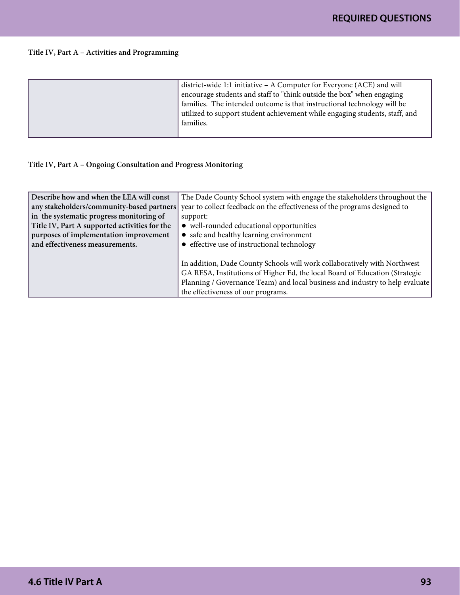#### Title IV, Part A – Activities and Programming

| district-wide 1:1 initiative – A Computer for Everyone (ACE) and will<br>encourage students and staff to "think outside the box" when engaging<br>families. The intended outcome is that instructional technology will be<br>utilized to support student achievement while engaging students, staff, and<br>families. |
|-----------------------------------------------------------------------------------------------------------------------------------------------------------------------------------------------------------------------------------------------------------------------------------------------------------------------|
|                                                                                                                                                                                                                                                                                                                       |

#### Title IV, Part A – Ongoing Consultation and Progress Monitoring

| Describe how and when the LEA will const      | The Dade County School system with engage the stakeholders throughout the    |
|-----------------------------------------------|------------------------------------------------------------------------------|
| any stakeholders/community-based partners     | year to collect feedback on the effectiveness of the programs designed to    |
| in the systematic progress monitoring of      | support:                                                                     |
| Title IV, Part A supported activities for the | • well-rounded educational opportunities                                     |
| purposes of implementation improvement        | • safe and healthy learning environment                                      |
| and effectiveness measurements.               | • effective use of instructional technology                                  |
|                                               |                                                                              |
|                                               | In addition, Dade County Schools will work collaboratively with Northwest    |
|                                               | GA RESA, Institutions of Higher Ed, the local Board of Education (Strategic  |
|                                               | Planning / Governance Team) and local business and industry to help evaluate |
|                                               | the effectiveness of our programs.                                           |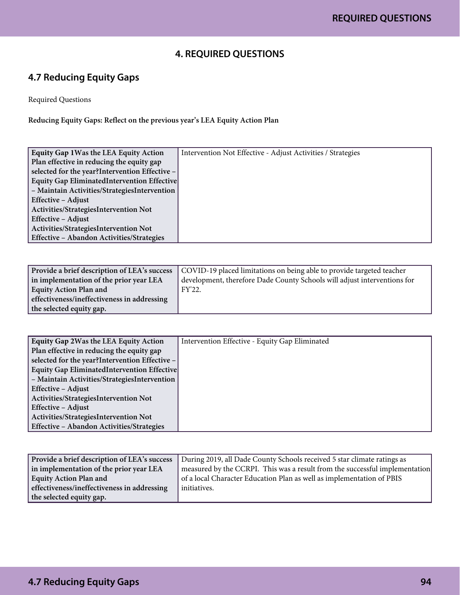### **4. REQUIRED QUESTIONS**

### **4.7 Reducing Equity Gaps**

Required Questions

Reducing Equity Gaps: Reflect on the previous year's LEA Equity Action Plan

| Equity Gap 1 Was the LEA Equity Action          | Intervention Not Effective - Adjust Activities / Strategies |
|-------------------------------------------------|-------------------------------------------------------------|
| Plan effective in reducing the equity gap       |                                                             |
| selected for the year? Intervention Effective - |                                                             |
| Equity Gap EliminatedIntervention Effective     |                                                             |
| - Maintain Activities/StrategiesIntervention    |                                                             |
| Effective - Adjust                              |                                                             |
| Activities/StrategiesIntervention Not           |                                                             |
| Effective - Adjust                              |                                                             |
| Activities/StrategiesIntervention Not           |                                                             |
| Effective - Abandon Activities/Strategies       |                                                             |

| Provide a brief description of LEA's success | COVID-19 placed limitations on being able to provide targeted teacher    |
|----------------------------------------------|--------------------------------------------------------------------------|
| in implementation of the prior year LEA      | development, therefore Dade County Schools will adjust interventions for |
| <b>Equity Action Plan and</b>                | FY'22.                                                                   |
| effectiveness/ineffectiveness in addressing  |                                                                          |
| the selected equity gap.                     |                                                                          |

| Equity Gap 2Was the LEA Equity Action           | Intervention Effective - Equity Gap Eliminated |
|-------------------------------------------------|------------------------------------------------|
| Plan effective in reducing the equity gap       |                                                |
| selected for the year? Intervention Effective - |                                                |
| Equity Gap EliminatedIntervention Effective     |                                                |
| - Maintain Activities/StrategiesIntervention    |                                                |
| Effective - Adjust                              |                                                |
| Activities/StrategiesIntervention Not           |                                                |
| Effective - Adjust                              |                                                |
| Activities/StrategiesIntervention Not           |                                                |
| Effective - Abandon Activities/Strategies       |                                                |

| Provide a brief description of LEA's success | During 2019, all Dade County Schools received 5 star climate ratings as     |
|----------------------------------------------|-----------------------------------------------------------------------------|
| in implementation of the prior year LEA      | measured by the CCRPI. This was a result from the successful implementation |
| <b>Equity Action Plan and</b>                | of a local Character Education Plan as well as implementation of PBIS       |
| effectiveness/ineffectiveness in addressing  | initiatives.                                                                |
| the selected equity gap.                     |                                                                             |